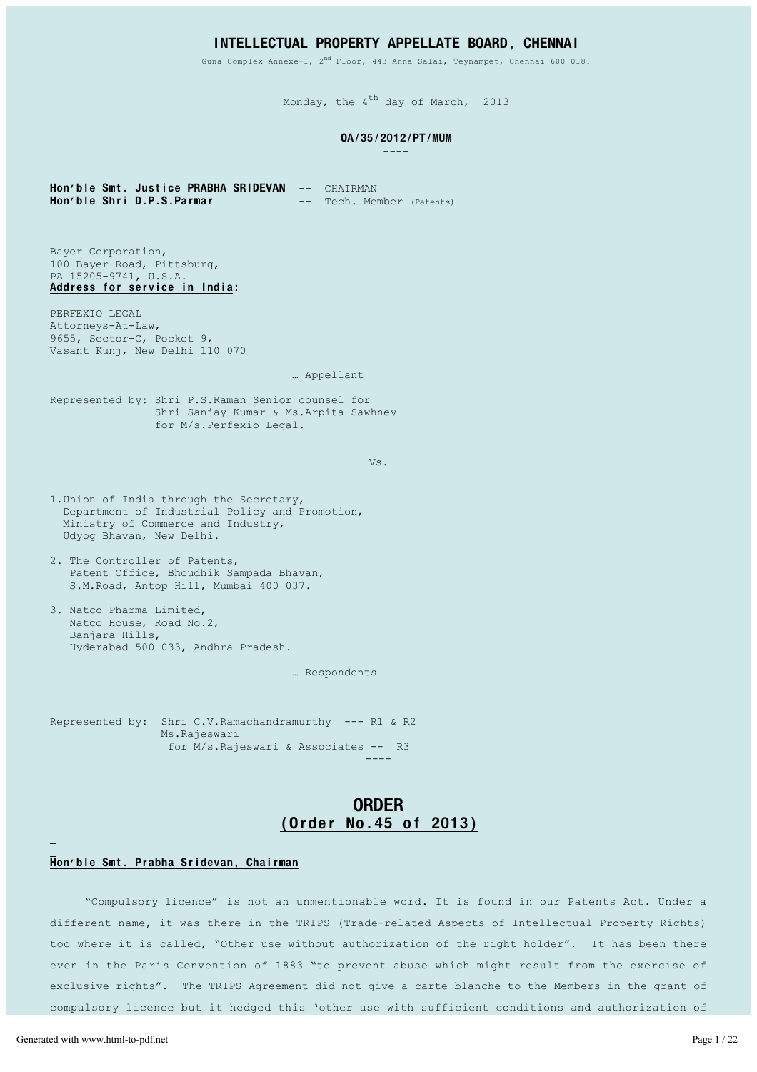## INTELLECTUAL PROPERTY APPELLATE BOARD, CHENNAI

Guna Complex Annexe-I, 2<sup>nd</sup> Floor, 443 Anna Salai, Teynampet, Chennai 600 018.

Monday, the  $4^{th}$  day of March, 2013

#### OA / 35 / 2012 / PT / MUM

----

Hon'ble Smt. Justice PRABHA SRIDEVAN -- CHAIRMAN<br>Hon'ble Shri D.P.S.Parmar -- Tech. Mer -- Tech. Member (Patents)

Bayer Corporation, 100 Bayer Road, Pittsburg, PA 15205-9741, U.S.A. Address for service in India:

PERFEXIO LEGAL Attorneys-At-Law, 9655, Sector-C, Pocket 9, Vasant Kunj, New Delhi 110 070

#### ... Appellant

Represented by: Shri P.S.Raman Senior counsel for Shri Sanjay Kumar & Ms. Arpita Sawhney for M/s. Perfexio Legal.

Vs.

- 1.Union of India through the Secretary, Department of Industrial Policy and Promotion, Ministry of Commerce and Industry, Udyog Bhavan, New Delhi.
- 2. The Controller of Patents, Patent Office, Bhoudhik Sampada Bhavan, S.M. Road, Antop Hill, Mumbai 400 037.
- 3. Natco Pharma Limited, Natco House, Road No.2, Banjara Hills, Hyderabad 500 033, Andhra Pradesh.

... Respondents

Represented by: Shri C.V. Ramachandramurthy --- R1 & R2 Ms.Raieswari for M/s.Rajeswari & Associates -- R3

# ORDER (Order No. 45 of 2013)

----

### Hon'ble Smt. Prabha Sridevan, Chairman

³Compulsory licence´ is not an unmentionable word. It is found in our Patents Act. Under a different name, it was there in the TRIPS (Trade-related Aspects of Intellectual Property Rights) too where it is called, "Other use without authorization of the right holder". It has been there even in the Paris Convention of 1883 "to prevent abuse which might result from the exercise of exclusive rights". The TRIPS Agreement did not give a carte blanche to the Members in the grant of compulsory licence but it hedged this 'other use with sufficient conditions and authorization of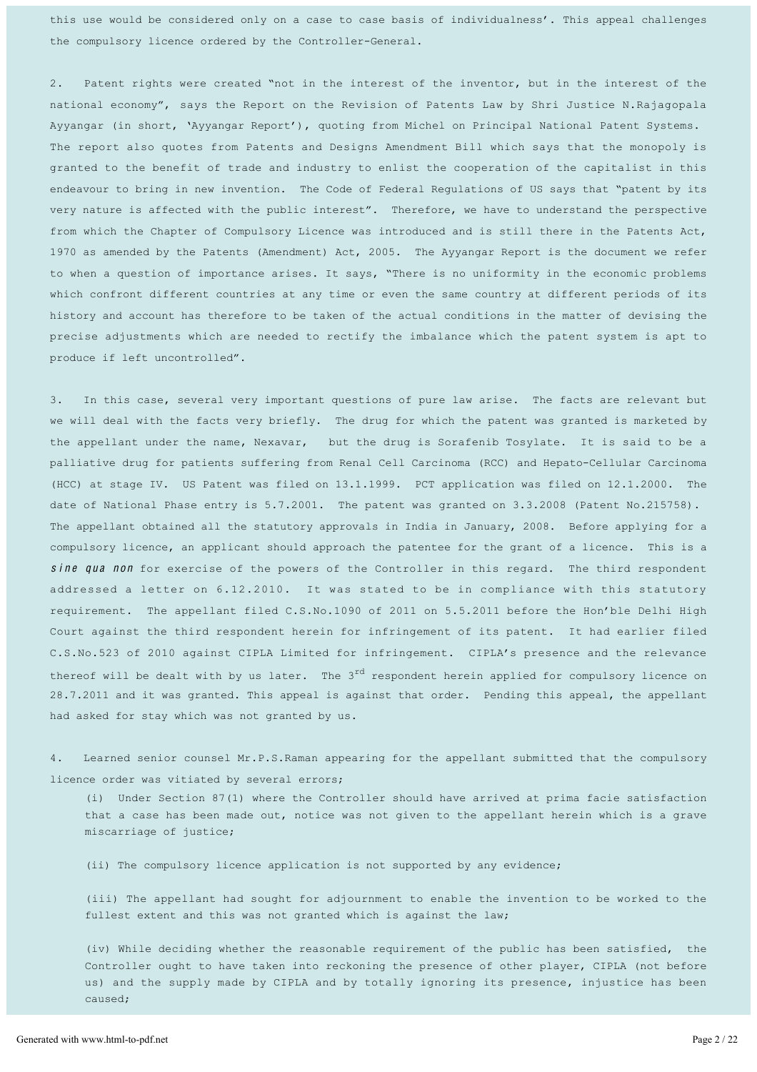this use would be considered only on a case to case basis of individualness'. This appeal challenges the compulsory licence ordered by the Controller-General.

2. Patent rights were created "not in the interest of the inventor, but in the interest of the national economy", says the Report on the Revision of Patents Law by Shri Justice N.Rajagopala Ayyangar (in short, 'Ayyangar Report'), quoting from Michel on Principal National Patent Systems. The report also quotes from Patents and Designs Amendment Bill which says that the monopoly is granted to the benefit of trade and industry to enlist the cooperation of the capitalist in this endeavour to bring in new invention. The Code of Federal Regulations of US says that "patent by its very nature is affected with the public interest". Therefore, we have to understand the perspective from which the Chapter of Compulsory Licence was introduced and is still there in the Patents Act, 1970 as amended by the Patents (Amendment) Act, 2005. The Ayyangar Report is the document we refer to when a question of importance arises. It says, "There is no uniformity in the economic problems which confront different countries at any time or even the same country at different periods of its history and account has therefore to be taken of the actual conditions in the matter of devising the precise adjustments which are needed to rectify the imbalance which the patent system is apt to produce if left uncontrolled".

3. In this case, several very important questions of pure law arise. The facts are relevant but we will deal with the facts very briefly. The drug for which the patent was granted is marketed by the appellant under the name, Nexavar, but the drug is Sorafenib Tosylate. It is said to be a palliative drug for patients suffering from Renal Cell Carcinoma (RCC) and Hepato-Cellular Carcinoma (HCC) at stage IV. US Patent was filed on  $13.1.1999$ . PCT application was filed on  $12.1.2000$ . The date of National Phase entry is 5.7.2001. The patent was granted on 3.3.2008 (Patent No.215758). The appellant obtained all the statutory approvals in India in January, 2008. Before applying for a compulsory licence, an applicant should approach the patentee for the grant of a licence. This is a sine qua non for exercise of the powers of the Controller in this regard. The third respondent addressed a letter on 6.12.2010. It was stated to be in compliance with this statutory requirement. The appellant filed C.S.No.1090 of 2011 on 5.5.2011 before the Hon'ble Delhi High Court against the third respondent herein for infringement of its patent. It had earlier filed C.S.No.523 of 2010 against CIPLA Limited for infringement. CIPLA's presence and the relevance thereof will be dealt with by us later. The  $3<sup>rd</sup>$  respondent herein applied for compulsory licence on 28.7.2011 and it was granted. This appeal is against that order. Pending this appeal, the appellant had asked for stay which was not granted by us.

4. Learned senior counsel Mr.P.S.Raman appearing for the appellant submitted that the compulsory licence order was vitiated by several errors;

(i) Under Section 87(1) where the Controller should have arrived at prima facie satisfaction that a case has been made out, notice was not given to the appellant herein which is a grave miscarriage of justice;

(ii) The compulsory licence application is not supported by any evidence;

(iii) The appellant had sought for adjournment to enable the invention to be worked to the fullest extent and this was not granted which is against the law;

(iv) While deciding whether the reasonable requirement of the public has been satisfied, the Controller ought to have taken into reckoning the presence of other player, CIPLA (not before us) and the supply made by CIPLA and by totally ignoring its presence, injustice has been caused;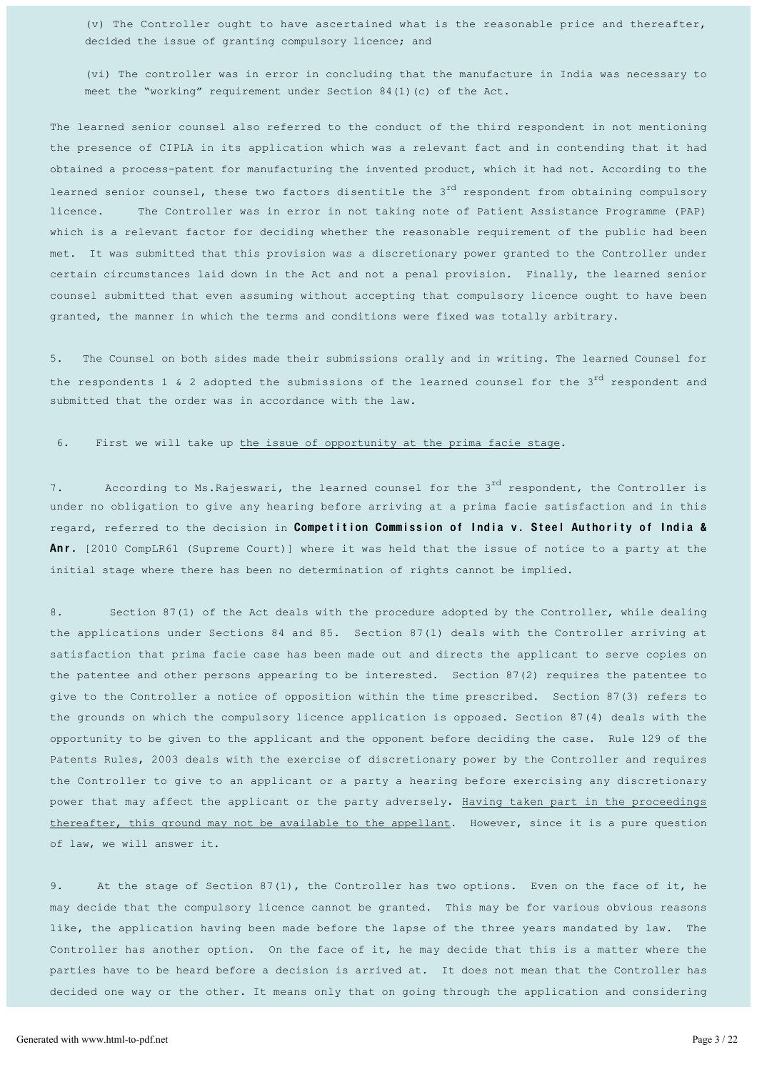(v) The Controller ought to have ascertained what is the reasonable price and thereafter, decided the issue of granting compulsory licence; and

(vi) The controller was in error in concluding that the manufacture in India was necessary to meet the "working" requirement under Section 84(1)(c) of the Act.

The learned senior counsel also referred to the conduct of the third respondent in not mentioning the presence of CIPLA in its application which was a relevant fact and in contending that it had obtained a process-patent for manufacturing the invented product, which it had not. According to the learned senior counsel, these two factors disentitle the 3<sup>rd</sup> respondent from obtaining compulsory licence. The Controller was in error in not taking note of Patient Assistance Programme (PAP) which is a relevant factor for deciding whether the reasonable requirement of the public had been met. It was submitted that this provision was a discretionary power granted to the Controller under certain circumstances laid down in the Act and not a penal provision. Finally, the learned senior counsel submitted that even assuming without accepting that compulsory licence ought to have been granted, the manner in which the terms and conditions were fixed was totally arbitrary.

5. The Counsel on both sides made their submissions orally and in writing. The learned Counsel for the respondents 1 & 2 adopted the submissions of the learned counsel for the 3<sup>rd</sup> respondent and submitted that the order was in accordance with the law.

#### 6. First we will take up the issue of opportunity at the prima facie stage.

7. According to Ms. Rajeswari, the learned counsel for the  $3^{rd}$  respondent, the Controller is under no obligation to give any hearing before arriving at a prima facie satisfaction and in this regard, referred to the decision in Competition Commission of India v. Steel Authority of India & Anr. [2010 CompLR61 (Supreme Court)] where it was held that the issue of notice to a party at the initial stage where there has been no determination of rights cannot be implied.

8. Section 87(1) of the Act deals with the procedure adopted by the Controller, while dealing the applications under Sections 84 and 85. Section 87(1) deals with the Controller arriving at satisfaction that prima facie case has been made out and directs the applicant to serve copies on the patentee and other persons appearing to be interested. Section 87(2) requires the patentee to give to the Controller a notice of opposition within the time prescribed. Section 87(3) refers to the grounds on which the compulsory licence application is opposed. Section 87(4) deals with the opportunity to be given to the applicant and the opponent before deciding the case. Rule 129 of the Patents Rules, 2003 deals with the exercise of discretionary power by the Controller and requires the Controller to give to an applicant or a party a hearing before exercising any discretionary power that may affect the applicant or the party adversely. Having taken part in the proceedings thereafter, this ground may not be available to the appellant. However, since it is a pure question of law, we will answer it.

9. At the stage of Section 87(1), the Controller has two options. Even on the face of it, he may decide that the compulsory licence cannot be granted. This may be for various obvious reasons like, the application having been made before the lapse of the three years mandated by law. The Controller has another option. On the face of it, he may decide that this is a matter where the parties have to be heard before a decision is arrived at. It does not mean that the Controller has decided one way or the other. It means only that on going through the application and considering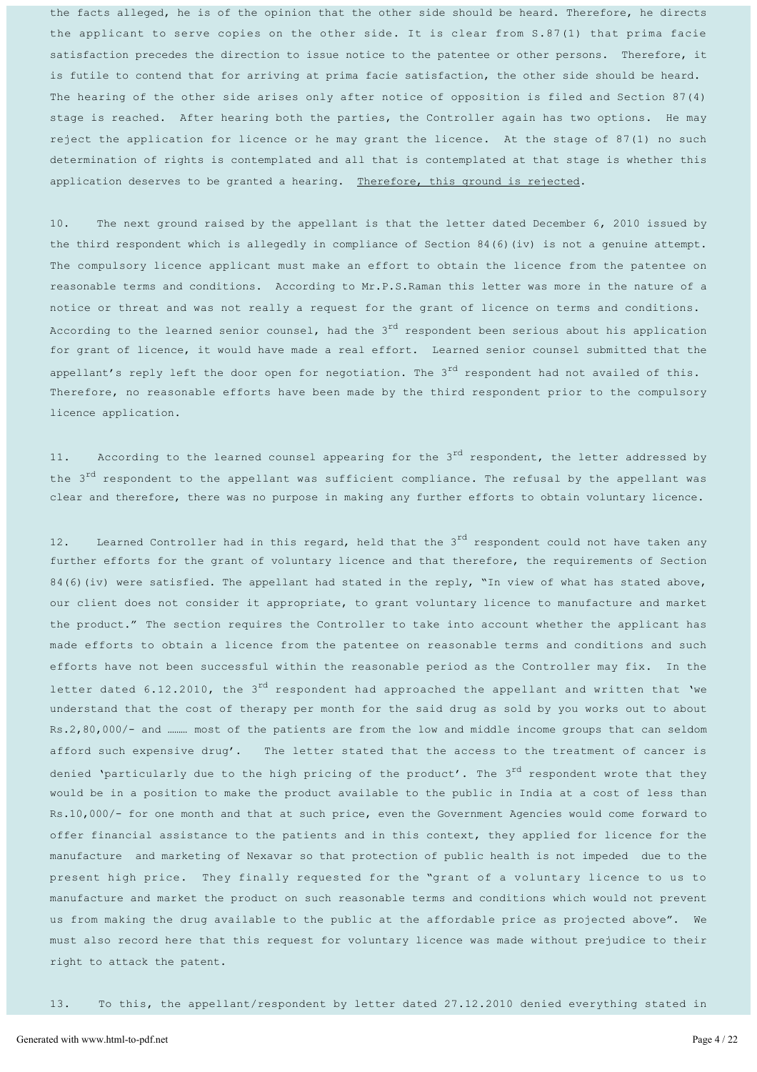the facts alleged, he is of the opinion that the other side should be heard. Therefore, he directs the applicant to serve copies on the other side. It is clear from S.87(1) that prima facie satisfaction precedes the direction to issue notice to the patentee or other persons. Therefore, it is futile to contend that for arriving at prima facie satisfaction, the other side should be heard. The hearing of the other side arises only after notice of opposition is filed and Section 87(4) stage is reached. After hearing both the parties, the Controller again has two options. He may reject the application for licence or he may grant the licence. At the stage of 87(1) no such determination of rights is contemplated and all that is contemplated at that stage is whether this application deserves to be granted a hearing. Therefore, this ground is rejected.

10. The next ground raised by the appellant is that the letter dated December 6, 2010 issued by the third respondent which is allegedly in compliance of Section 84(6)(iv) is not a genuine attempt. The compulsory licence applicant must make an effort to obtain the licence from the patentee on reasonable terms and conditions. According to Mr.P.S.Raman this letter was more in the nature of a notice or threat and was not really a request for the grant of licence on terms and conditions. According to the learned senior counsel, had the  $3<sup>rd</sup>$  respondent been serious about his application for grant of licence, it would have made a real effort. Learned senior counsel submitted that the appellant's reply left the door open for negotiation. The  $3^{rd}$  respondent had not availed of this. Therefore, no reasonable efforts have been made by the third respondent prior to the compulsory licence application.

11. According to the learned counsel appearing for the  $3<sup>rd</sup>$  respondent, the letter addressed by the 3<sup>rd</sup> respondent to the appellant was sufficient compliance. The refusal by the appellant was clear and therefore, there was no purpose in making any further efforts to obtain voluntary licence.

12. Learned Controller had in this regard, held that the 3<sup>rd</sup> respondent could not have taken any further efforts for the grant of voluntary licence and that therefore, the requirements of Section  $84(6)$  (iv) were satisfied. The appellant had stated in the reply, "In view of what has stated above, our client does not consider it appropriate, to grant voluntary licence to manufacture and market the product." The section requires the Controller to take into account whether the applicant has made efforts to obtain a licence from the patentee on reasonable terms and conditions and such efforts have not been successful within the reasonable period as the Controller may fix. In the letter dated 6.12.2010, the 3<sup>rd</sup> respondent had approached the appellant and written that 'we understand that the cost of therapy per month for the said drug as sold by you works out to about Rs.2,80,000/- and ......... most of the patients are from the low and middle income groups that can seldom afford such expensive drug'. The letter stated that the access to the treatment of cancer is denied 'particularly due to the high pricing of the product'. The 3<sup>rd</sup> respondent wrote that they would be in a position to make the product available to the public in India at a cost of less than Rs.10,000/- for one month and that at such price, even the Government Agencies would come forward to offer financial assistance to the patients and in this context, they applied for licence for the manufacture and marketing of Nexavar so that protection of public health is not impeded due to the present high price. They finally requested for the "grant of a voluntary licence to us to manufacture and market the product on such reasonable terms and conditions which would not prevent us from making the drug available to the public at the affordable price as projected above". We must also record here that this request for voluntary licence was made without prejudice to their right to attack the patent.

13. To this, the appellant/respondent by letter dated 27.12.2010 denied everything stated in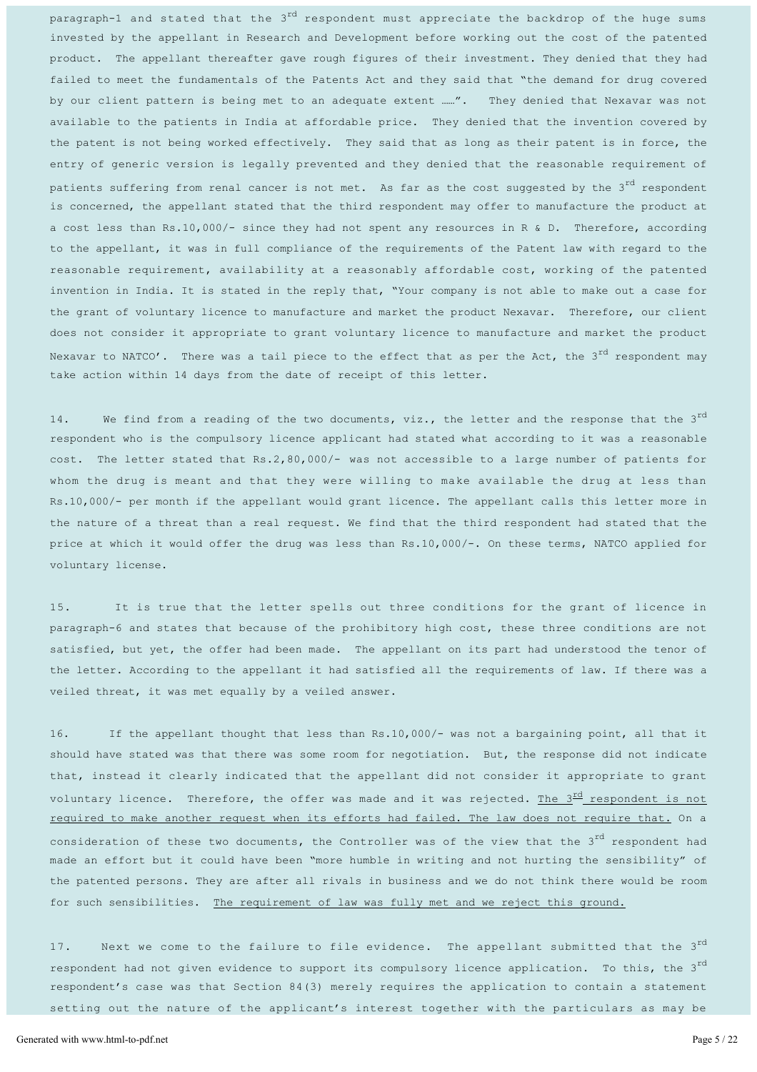paragraph-1 and stated that the 3<sup>rd</sup> respondent must appreciate the backdrop of the huge sums invested by the appellant in Research and Development before working out the cost of the patented product. The appellant thereafter gave rough figures of their investment. They denied that they had failed to meet the fundamentals of the Patents Act and they said that "the demand for drug covered by our client pattern is being met to an adequate extent ......". They denied that Nexavar was not available to the patients in India at affordable price. They denied that the invention covered by the patent is not being worked effectively. They said that as long as their patent is in force, the entry of generic version is legally prevented and they denied that the reasonable requirement of patients suffering from renal cancer is not met. As far as the cost suggested by the  $3^{rd}$  respondent is concerned, the appellant stated that the third respondent may offer to manufacture the product at a cost less than Rs.10,000/- since they had not spent any resources in R & D. Therefore, according to the appellant, it was in full compliance of the requirements of the Patent law with regard to the reasonable requirement, availability at a reasonably affordable cost, working of the patented invention in India. It is stated in the reply that, "Your company is not able to make out a case for the grant of voluntary licence to manufacture and market the product Nexavar. Therefore, our client does not consider it appropriate to grant voluntary licence to manufacture and market the product Nexavar to NATCO'. There was a tail piece to the effect that as per the Act, the  $3^{rd}$  respondent may take action within 14 days from the date of receipt of this letter.

14. We find from a reading of the two documents, viz., the letter and the response that the  $3^{rd}$ respondent who is the compulsory licence applicant had stated what according to it was a reasonable  $cost.$  The letter stated that Rs.2,80,000/- was not accessible to a large number of patients for whom the drug is meant and that they were willing to make available the drug at less than Rs.10,000/- per month if the appellant would grant licence. The appellant calls this letter more in the nature of a threat than a real request. We find that the third respondent had stated that the price at which it would offer the drug was less than Rs.10,000/-. On these terms, NATCO applied for voluntary license.

15. It is true that the letter spells out three conditions for the grant of licence in paragraph-6 and states that because of the prohibitory high cost, these three conditions are not satisfied, but yet, the offer had been made. The appellant on its part had understood the tenor of the letter. According to the appellant it had satisfied all the requirements of law. If there was a veiled threat, it was met equally by a veiled answer.

16. If the appellant thought that less than Rs.10,000/- was not a bargaining point, all that it should have stated was that there was some room for negotiation. But, the response did not indicate that, instead it clearly indicated that the appellant did not consider it appropriate to grant voluntary licence. Therefore, the offer was made and it was rejected. The  $3^{\frac{rd}{ld}}$  respondent is not required to make another request when its efforts had failed. The law does not require that. On a consideration of these two documents, the Controller was of the view that the  $3^{rd}$  respondent had made an effort but it could have been "more humble in writing and not hurting the sensibility" of the patented persons. They are after all rivals in business and we do not think there would be room for such sensibilities. The requirement of law was fully met and we reject this ground.

17. Next we come to the failure to file evidence. The appellant submitted that the 3<sup>rd</sup> respondent had not given evidence to support its compulsory licence application. To this, the 3<sup>rd</sup> respondent's case was that Section 84(3) merely requires the application to contain a statement setting out the nature of the applicant's interest together with the particulars as may be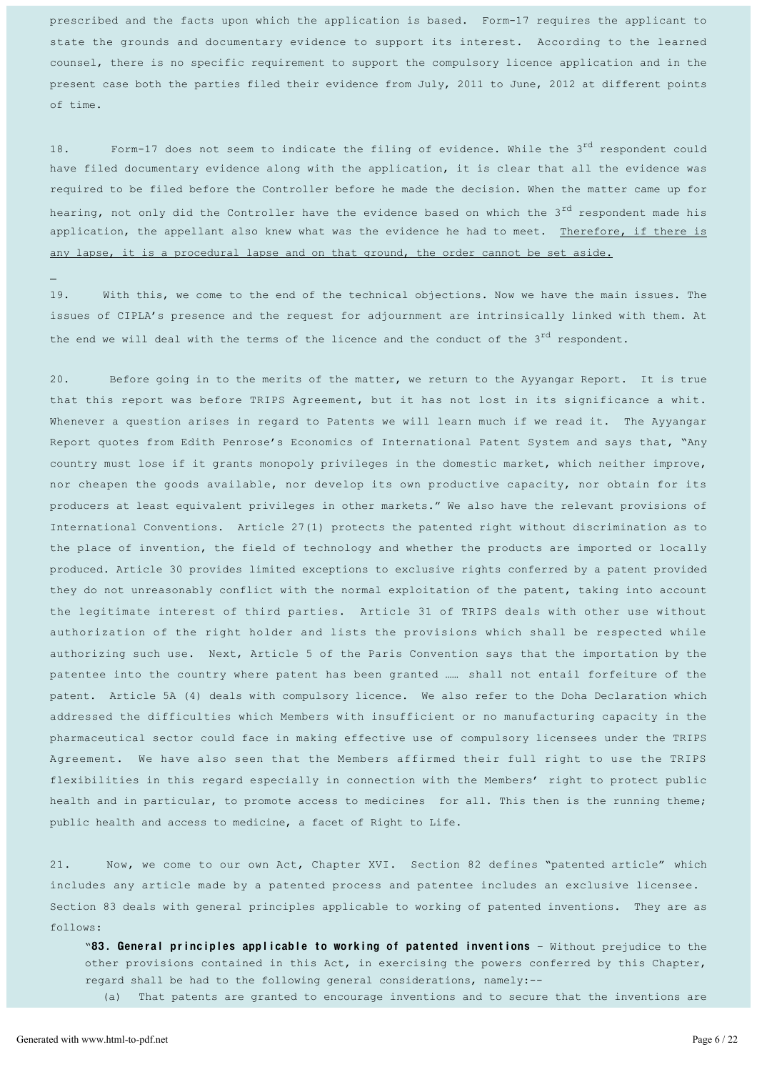prescribed and the facts upon which the application is based. Form-17 requires the applicant to state the grounds and documentary evidence to support its interest. According to the learned counsel, there is no specific requirement to support the compulsory licence application and in the present case both the parties filed their evidence from July, 2011 to June, 2012 at different points of time.

18. Form-17 does not seem to indicate the filing of evidence. While the  $3^{rd}$  respondent could have filed documentary evidence along with the application, it is clear that all the evidence was required to be filed before the Controller before he made the decision. When the matter came up for hearing, not only did the Controller have the evidence based on which the 3<sup>rd</sup> respondent made his application, the appellant also knew what was the evidence he had to meet. Therefore, if there is any lapse, it is a procedural lapse and on that ground, the order cannot be set aside.

19. With this, we come to the end of the technical objections. Now we have the main issues. The issues of CIPLA's presence and the request for adjournment are intrinsically linked with them. At the end we will deal with the terms of the licence and the conduct of the  $3^{rd}$  respondent.

20. Before going in to the merits of the matter, we return to the Ayyangar Report. It is true that this report was before TRIPS Agreement, but it has not lost in its significance a whit. Whenever a question arises in regard to Patents we will learn much if we read it. The Ayyangar Report quotes from Edith Penrose's Economics of International Patent System and says that, "Any country must lose if it grants monopoly privileges in the domestic market, which neither improve, nor cheapen the goods available, nor develop its own productive capacity, nor obtain for its producers at least equivalent privileges in other markets." We also have the relevant provisions of International Conventions. Article 27(1) protects the patented right without discrimination as to the place of invention, the field of technology and whether the products are imported or locally produced. Article 30 provides limited exceptions to exclusive rights conferred by a patent provided they do not unreasonably conflict with the normal exploitation of the patent, taking into account the legitimate interest of third parties. Article 31 of TRIPS deals with other use without authorization of the right holder and lists the provisions which shall be respected while authorizing such use. Next, Article 5 of the Paris Convention says that the importation by the patentee into the country where patent has been granted ...... shall not entail forfeiture of the patent. Article 5A (4) deals with compulsory licence. We also refer to the Doha Declaration which addressed the difficulties which Members with insufficient or no manufacturing capacity in the pharmaceutical sector could face in making effective use of compulsory licensees under the TRIPS Agreement. We have also seen that the Members affirmed their full right to use the TRIPS flexibilities in this regard especially in connection with the Members' right to protect public health and in particular, to promote access to medicines for all. This then is the running theme; public health and access to medicine, a facet of Right to Life.

21. Now, we come to our own Act, Chapter XVI. Section 82 defines "patented article" which includes any article made by a patented process and patentee includes an exclusive licensee. Section 83 deals with general principles applicable to working of patented inventions. They are as follows:

"83. General principles applicable to working of patented inventions - Without prejudice to the other provisions contained in this Act, in exercising the powers conferred by this Chapter, regard shall be had to the following general considerations, namely:--

(a)That patents are granted to encourage inventions and to secure that the inventions are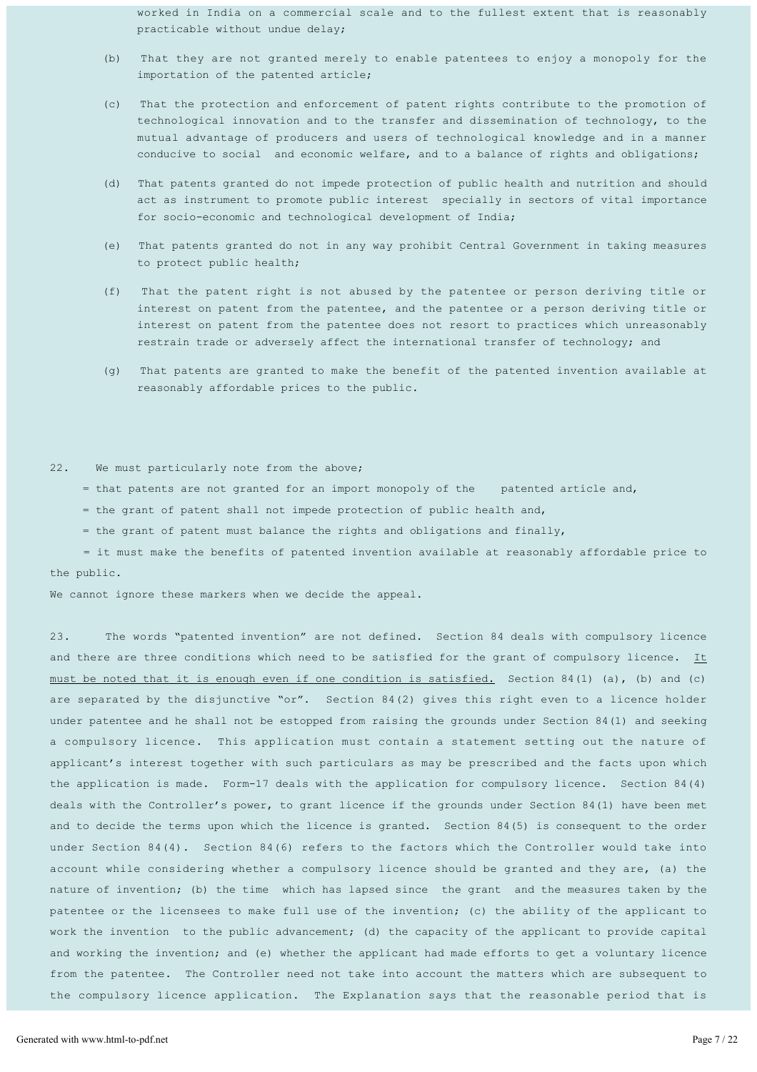worked in India on a commercial scale and to the fullest extent that is reasonably practicable without undue delay;

- (b) That they are not granted merely to enable patentees to enjoy a monopoly for the importation of the patented article;
- (c)That the protection and enforcement of patent rights contribute to the promotion of technological innovation and to the transfer and dissemination of technology, to the mutual advantage of producers and users of technological knowledge and in a manner conducive to social and economic welfare, and to a balance of rights and obligations;
- (d) That patents granted do not impede protection of public health and nutrition and should act as instrument to promote public interest specially in sectors of vital importance for socio-economic and technological development of India;
- (e) That patents granted do not in any way prohibit Central Government in taking measures to protect public health;
- (f) That the patent right is not abused by the patentee or person deriving title or interest on patent from the patentee, and the patentee or a person deriving title or interest on patent from the patentee does not resort to practices which unreasonably restrain trade or adversely affect the international transfer of technology; and
- (g)That patents are granted to make the benefit of the patented invention available at reasonably affordable prices to the public.

#### 22. We must particularly note from the above;

- = that patents are not granted for an import monopoly of the patented article and,
- = the grant of patent shall not impede protection of public health and,
- = the grant of patent must balance the rights and obligations and finally,

= it must make the benefits of patented invention available at reasonably affordable price to the public.

We cannot ignore these markers when we decide the appeal.

23. The words "patented invention" are not defined. Section 84 deals with compulsory licence and there are three conditions which need to be satisfied for the grant of compulsory licence. It must be noted that it is enough even if one condition is satisfied. Section 84(1) (a), (b) and (c) are separated by the disjunctive "or". Section  $84(2)$  gives this right even to a licence holder under patentee and he shall not be estopped from raising the grounds under Section 84(1) and seeking a compulsory licence. This application must contain a statement setting out the nature of applicant's interest together with such particulars as may be prescribed and the facts upon which the application is made. Form-17 deals with the application for compulsory licence. Section 84(4) deals with the Controller's power, to grant licence if the grounds under Section 84(1) have been met and to decide the terms upon which the licence is granted. Section 84(5) is consequent to the order under Section  $84(4)$ . Section  $84(6)$  refers to the factors which the Controller would take into account while considering whether a compulsory licence should be granted and they are, (a) the nature of invention; (b) the time which has lapsed since the grant and the measures taken by the patentee or the licensees to make full use of the invention; (c) the ability of the applicant to work the invention to the public advancement; (d) the capacity of the applicant to provide capital and working the invention; and (e) whether the applicant had made efforts to get a voluntary licence from the patentee. The Controller need not take into account the matters which are subsequent to the compulsory licence application. The Explanation says that the reasonable period that is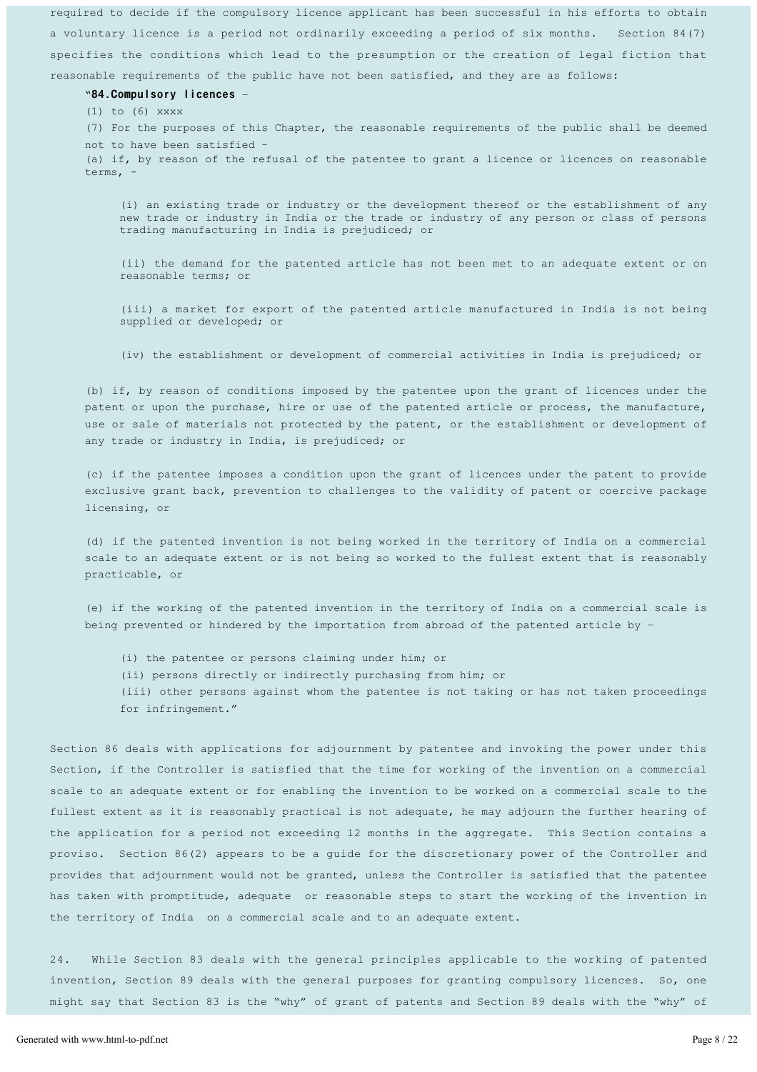required to decide if the compulsory licence applicant has been successful in his efforts to obtain a voluntary licence is a period not ordinarily exceeding a period of six months. Section 84(7) specifies the conditions which lead to the presumption or the creation of legal fiction that reasonable requirements of the public have not been satisfied, and they are as follows:

#### "84. Compulsory licences -

(1) to (6) xxxx

(7) For the purposes of this Chapter, the reasonable requirements of the public shall be deemed not to have been satisfied -

(a) if, by reason of the refusal of the patentee to grant a licence or licences on reasonable terms, -

(i) an existing trade or industry or the development thereof or the establishment of any new trade or industry in India or the trade or industry of any person or class of persons trading manufacturing in India is prejudiced; or

(ii) the demand for the patented article has not been met to an adequate extent or on reasonable terms; or

(iii) a market for export of the patented article manufactured in India is not being supplied or developed; or

(iv) the establishment or development of commercial activities in India is prejudiced; or

(b) if, by reason of conditions imposed by the patentee upon the grant of licences under the patent or upon the purchase, hire or use of the patented article or process, the manufacture, use or sale of materials not protected by the patent, or the establishment or development of any trade or industry in India, is prejudiced; or

(c) if the patentee imposes a condition upon the grant of licences under the patent to provide exclusive grant back, prevention to challenges to the validity of patent or coercive package licensing, or

(d) if the patented invention is not being worked in the territory of India on a commercial scale to an adequate extent or is not being so worked to the fullest extent that is reasonably practicable, or

(e) if the working of the patented invention in the territory of India on a commercial scale is being prevented or hindered by the importation from abroad of the patented article by  $-$ 

(i) the patentee or persons claiming under him; or

(ii) persons directly or indirectly purchasing from him; or

(iii) other persons against whom the patentee is not taking or has not taken proceedings for infringement."

Section 86 deals with applications for adjournment by patentee and invoking the power under this Section, if the Controller is satisfied that the time for working of the invention on a commercial scale to an adequate extent or for enabling the invention to be worked on a commercial scale to the fullest extent as it is reasonably practical is not adequate, he may adjourn the further hearing of the application for a period not exceeding 12 months in the aggregate. This Section contains a proviso. Section 86(2) appears to be a quide for the discretionary power of the Controller and provides that adjournment would not be granted, unless the Controller is satisfied that the patentee has taken with promptitude, adequate or reasonable steps to start the working of the invention in the territory of India on a commercial scale and to an adequate extent.

24. While Section 83 deals with the general principles applicable to the working of patented invention, Section 89 deals with the general purposes for granting compulsory licences. So, one might say that Section 83 is the "why" of grant of patents and Section 89 deals with the "why" of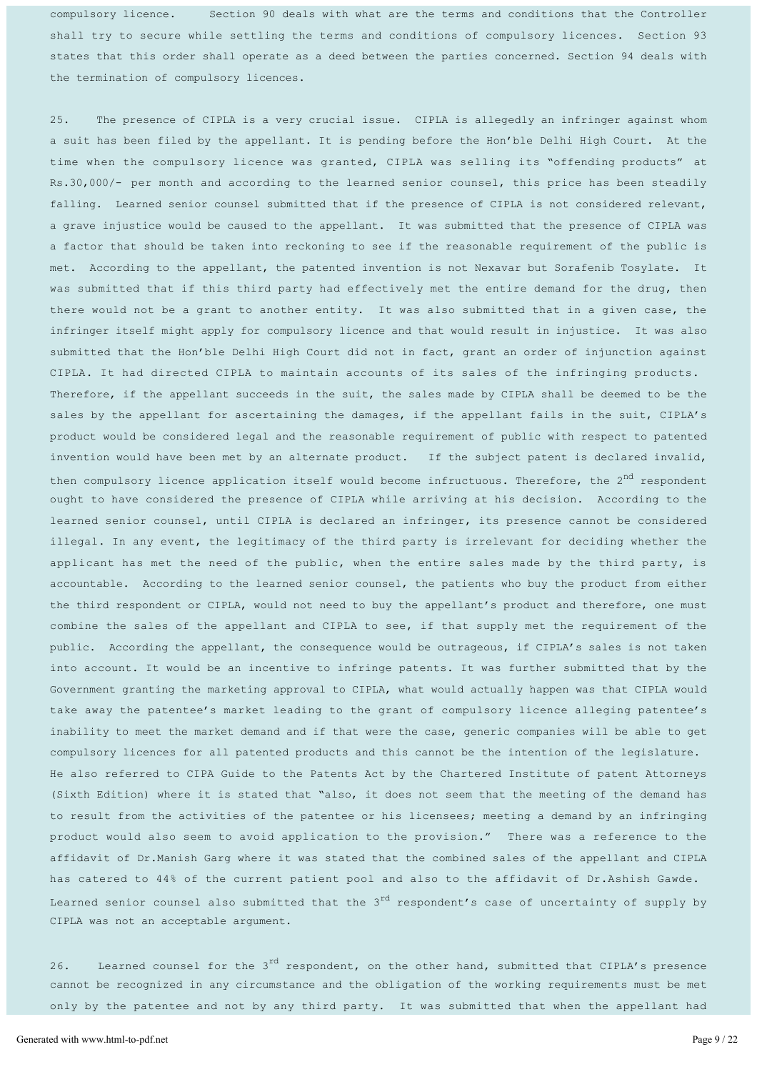compulsory licence. Section 90 deals with what are the terms and conditions that the Controller shall try to secure while settling the terms and conditions of compulsory licences. Section 93 states that this order shall operate as a deed between the parties concerned. Section 94 deals with the termination of compulsory licences.

25. The presence of CIPLA is a very crucial issue. CIPLA is allegedly an infringer against whom a suit has been filed by the appellant. It is pending before the Hon'ble Delhi High Court. At the time when the compulsory licence was granted, CIPLA was selling its "offending products" at Rs.30,000/- per month and according to the learned senior counsel, this price has been steadily falling. Learned senior counsel submitted that if the presence of CIPLA is not considered relevant, a grave injustice would be caused to the appellant. It was submitted that the presence of CIPLA was a factor that should be taken into reckoning to see if the reasonable requirement of the public is met. According to the appellant, the patented invention is not Nexavar but Sorafenib Tosylate. It was submitted that if this third party had effectively met the entire demand for the drug, then there would not be a grant to another entity. It was also submitted that in a given case, the infringer itself might apply for compulsory licence and that would result in injustice. It was also submitted that the Hon'ble Delhi High Court did not in fact, grant an order of injunction against CIPLA. It had directed CIPLA to maintain accounts of its sales of the infringing products. Therefore, if the appellant succeeds in the suit, the sales made by CIPLA shall be deemed to be the sales by the appellant for ascertaining the damages, if the appellant fails in the suit, CIPLA's product would be considered legal and the reasonable requirement of public with respect to patented invention would have been met by an alternate product. If the subject patent is declared invalid, then compulsory licence application itself would become infructuous. Therefore, the  $2^{nd}$  respondent ought to have considered the presence of CIPLA while arriving at his decision. According to the learned senior counsel, until CIPLA is declared an infringer, its presence cannot be considered illegal. In any event, the legitimacy of the third party is irrelevant for deciding whether the applicant has met the need of the public, when the entire sales made by the third party, is accountable. According to the learned senior counsel, the patients who buy the product from either the third respondent or CIPLA, would not need to buy the appellant's product and therefore, one must combine the sales of the appellant and CIPLA to see, if that supply met the requirement of the public. According the appellant, the consequence would be outrageous, if CIPLA's sales is not taken into account. It would be an incentive to infringe patents. It was further submitted that by the Government granting the marketing approval to CIPLA, what would actually happen was that CIPLA would take away the patentee's market leading to the grant of compulsory licence alleging patentee's inability to meet the market demand and if that were the case, generic companies will be able to get compulsory licences for all patented products and this cannot be the intention of the legislature. He also referred to CIPA Guide to the Patents Act by the Chartered Institute of patent Attorneys (Sixth Edition) where it is stated that "also, it does not seem that the meeting of the demand has to result from the activities of the patentee or his licensees; meeting a demand by an infringing product would also seem to avoid application to the provision." There was a reference to the affidavit of Dr.Manish Garg where it was stated that the combined sales of the appellant and CIPLA has catered to 44% of the current patient pool and also to the affidavit of Dr. Ashish Gawde. Learned senior counsel also submitted that the  $3^{rd}$  respondent's case of uncertainty of supply by CIPLA was not an acceptable argument.

26. Learned counsel for the  $3<sup>rd</sup>$  respondent, on the other hand, submitted that CIPLA's presence cannot be recognized in any circumstance and the obligation of the working requirements must be met only by the patentee and not by any third party. It was submitted that when the appellant had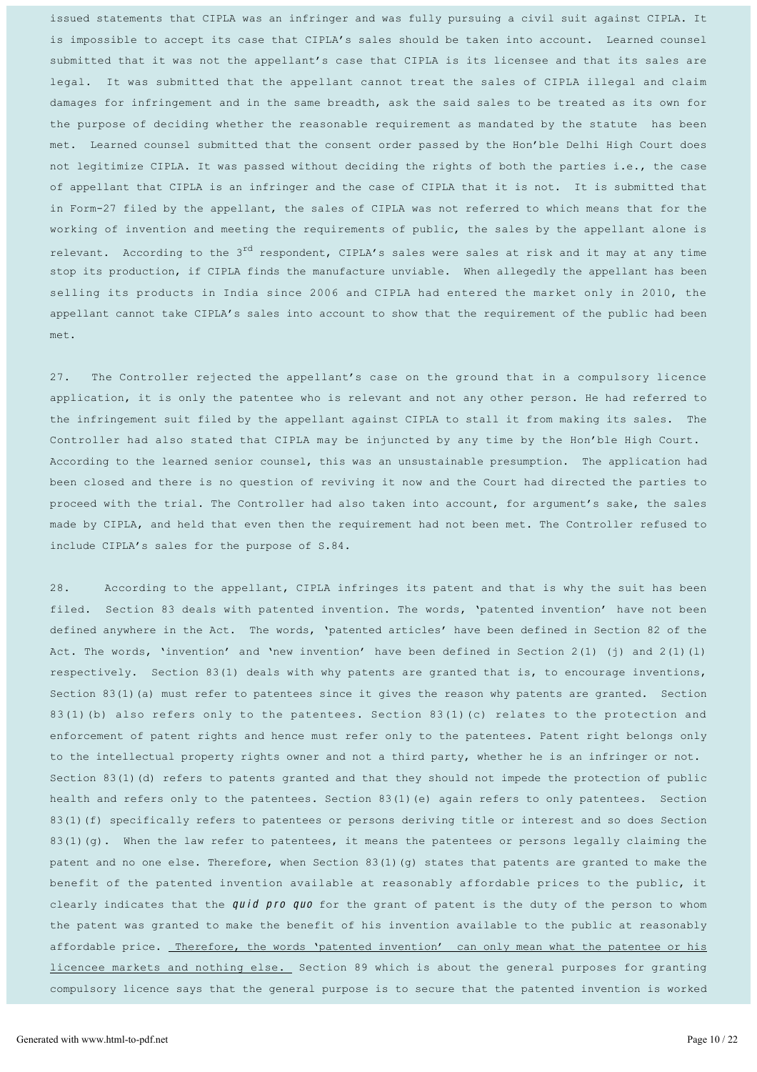issued statements that CIPLA was an infringer and was fully pursuing a civil suit against CIPLA. It is impossible to accept its case that CIPLA's sales should be taken into account. Learned counsel submitted that it was not the appellant's case that CIPLA is its licensee and that its sales are legal. It was submitted that the appellant cannot treat the sales of CIPLA illegal and claim damages for infringement and in the same breadth, ask the said sales to be treated as its own for the purpose of deciding whether the reasonable requirement as mandated by the statute has been met. Learned counsel submitted that the consent order passed by the Hon'ble Delhi High Court does not legitimize CIPLA. It was passed without deciding the rights of both the parties i.e., the case of appellant that CIPLA is an infringer and the case of CIPLA that it is not. It is submitted that in Form-27 filed by the appellant, the sales of CIPLA was not referred to which means that for the working of invention and meeting the requirements of public, the sales by the appellant alone is relevant. According to the  $3<sup>rd</sup>$  respondent, CIPLA's sales were sales at risk and it may at any time stop its production, if CIPLA finds the manufacture unviable. When allegedly the appellant has been selling its products in India since 2006 and CIPLA had entered the market only in 2010, the appellant cannot take CIPLA's sales into account to show that the requirement of the public had been met.

27. The Controller rejected the appellant's case on the ground that in a compulsory licence application, it is only the patentee who is relevant and not any other person. He had referred to the infringement suit filed by the appellant against CIPLA to stall it from making its sales. The Controller had also stated that CIPLA may be injuncted by any time by the Hon'ble High Court. According to the learned senior counsel, this was an unsustainable presumption. The application had been closed and there is no question of reviving it now and the Court had directed the parties to proceed with the trial. The Controller had also taken into account, for argument's sake, the sales made by CIPLA, and held that even then the requirement had not been met. The Controller refused to include CIPLA's sales for the purpose of S.84.

28. According to the appellant, CIPLA infringes its patent and that is why the suit has been filed. Section 83 deals with patented invention. The words, 'patented invention' have not been defined anywhere in the Act. The words, 'patented articles' have been defined in Section 82 of the Act. The words, 'invention' and 'new invention' have been defined in Section 2(1) (j) and 2(1)(l) respectively. Section 83(1) deals with why patents are granted that is, to encourage inventions, Section  $83(1)$  (a) must refer to patentees since it gives the reason why patents are granted. Section 83(1)(b) also refers only to the patentees. Section 83(1)(c) relates to the protection and enforcement of patent rights and hence must refer only to the patentees. Patent right belongs only to the intellectual property rights owner and not a third party, whether he is an infringer or not. Section 83(1)(d) refers to patents granted and that they should not impede the protection of public health and refers only to the patentees. Section 83(1)(e) again refers to only patentees. Section 83(1)(f) specifically refers to patentees or persons deriving title or interest and so does Section 83(1)(g). When the law refer to patentees, it means the patentees or persons legally claiming the patent and no one else. Therefore, when Section 83(1)(g) states that patents are granted to make the benefit of the patented invention available at reasonably affordable prices to the public, it clearly indicates that the  $quid$  pro quo for the grant of patent is the duty of the person to whom the patent was granted to make the benefit of his invention available to the public at reasonably affordable price. Therefore, the words 'patented invention' can only mean what the patentee or his licencee markets and nothing else. Section 89 which is about the general purposes for granting compulsory licence says that the general purpose is to secure that the patented invention is worked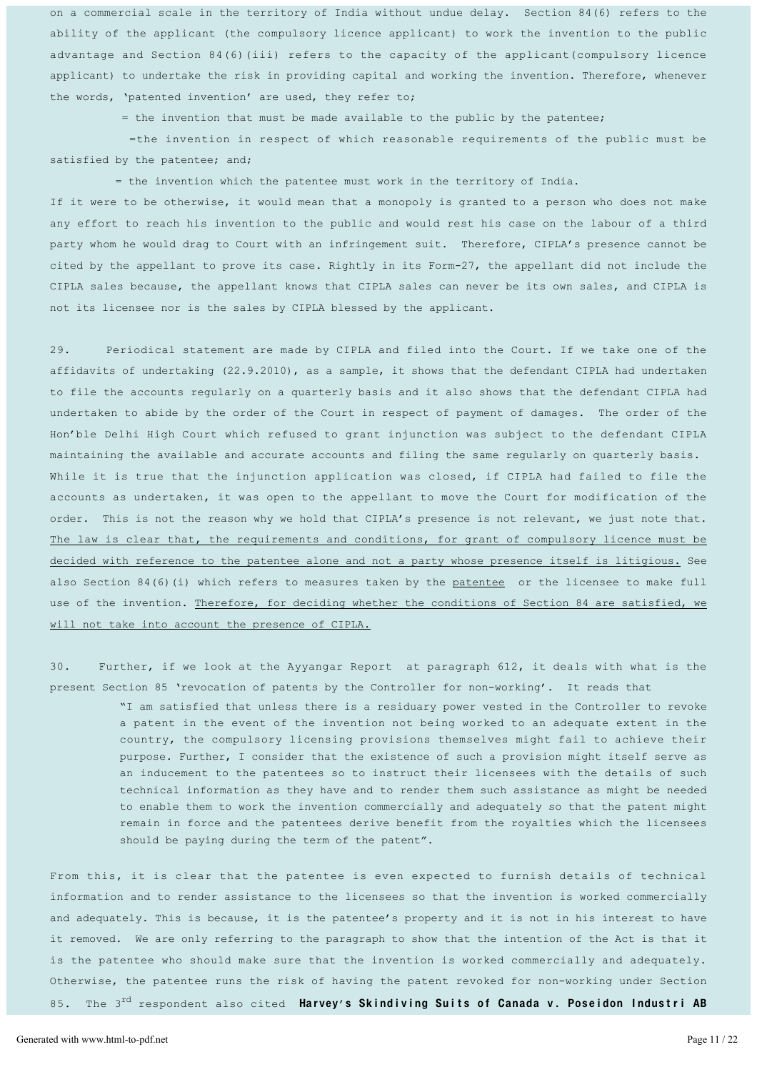on a commercial scale in the territory of India without undue delay. Section 84(6) refers to the ability of the applicant (the compulsory licence applicant) to work the invention to the public advantage and Section 84(6)(iii) refers to the capacity of the applicant(compulsory licence applicant) to undertake the risk in providing capital and working the invention. Therefore, whenever the words, 'patented invention' are used, they refer to;

= the invention that must be made available to the public by the patentee;

=the invention in respect of which reasonable requirements of the public must be satisfied by the patentee; and;

 $=$  the invention which the patentee must work in the territory of India.

If it were to be otherwise, it would mean that a monopoly is granted to a person who does not make any effort to reach his invention to the public and would rest his case on the labour of a third party whom he would drag to Court with an infringement suit. Therefore, CIPLA's presence cannot be cited by the appellant to prove its case. Rightly in its Form-27, the appellant did not include the CIPLA sales because, the appellant knows that CIPLA sales can never be its own sales, and CIPLA is not its licensee nor is the sales by CIPLA blessed by the applicant.

29. Periodical statement are made by CIPLA and filed into the Court. If we take one of the affidavits of undertaking (22.9.2010), as a sample, it shows that the defendant CIPLA had undertaken to file the accounts regularly on a quarterly basis and it also shows that the defendant CIPLA had undertaken to abide by the order of the Court in respect of payment of damages. The order of the Hon'ble Delhi High Court which refused to grant injunction was subject to the defendant CIPLA maintaining the available and accurate accounts and filing the same regularly on quarterly basis. While it is true that the injunction application was closed, if CIPLA had failed to file the accounts as undertaken, it was open to the appellant to move the Court for modification of the order. This is not the reason why we hold that CIPLA's presence is not relevant, we just note that. The law is clear that, the requirements and conditions, for grant of compulsory licence must be decided with reference to the patentee alone and not a party whose presence itself is litigious. See also Section 84(6)(i) which refers to measures taken by the patentee or the licensee to make full use of the invention. Therefore, for deciding whether the conditions of Section 84 are satisfied, we will not take into account the presence of CIPLA.

30. Further, if we look at the Ayyangar Report at paragraph 612, it deals with what is the present Section 85 'revocation of patents by the Controller for non-working'. It reads that

> ³I am satisfied that unless there is a residuary power vested in the Controller to revoke a patent in the event of the invention not being worked to an adequate extent in the country, the compulsory licensing provisions themselves might fail to achieve their purpose. Further, I consider that the existence of such a provision might itself serve as an inducement to the patentees so to instruct their licensees with the details of such technical information as they have and to render them such assistance as might be needed to enable them to work the invention commercially and adequately so that the patent might remain in force and the patentees derive benefit from the royalties which the licensees should be paying during the term of the patent".

From this, it is clear that the patentee is even expected to furnish details of technical information and to render assistance to the licensees so that the invention is worked commercially and adequately. This is because, it is the patentee's property and it is not in his interest to have it removed. We are only referring to the paragraph to show that the intention of the Act is that it is the patentee who should make sure that the invention is worked commercially and adequately. Otherwise, the patentee runs the risk of having the patent revoked for non-working under Section 85. The 3<sup>rd</sup> respondent also cited **Harvey's Skindiving Suits of Canada v. Poseidon Industri AB**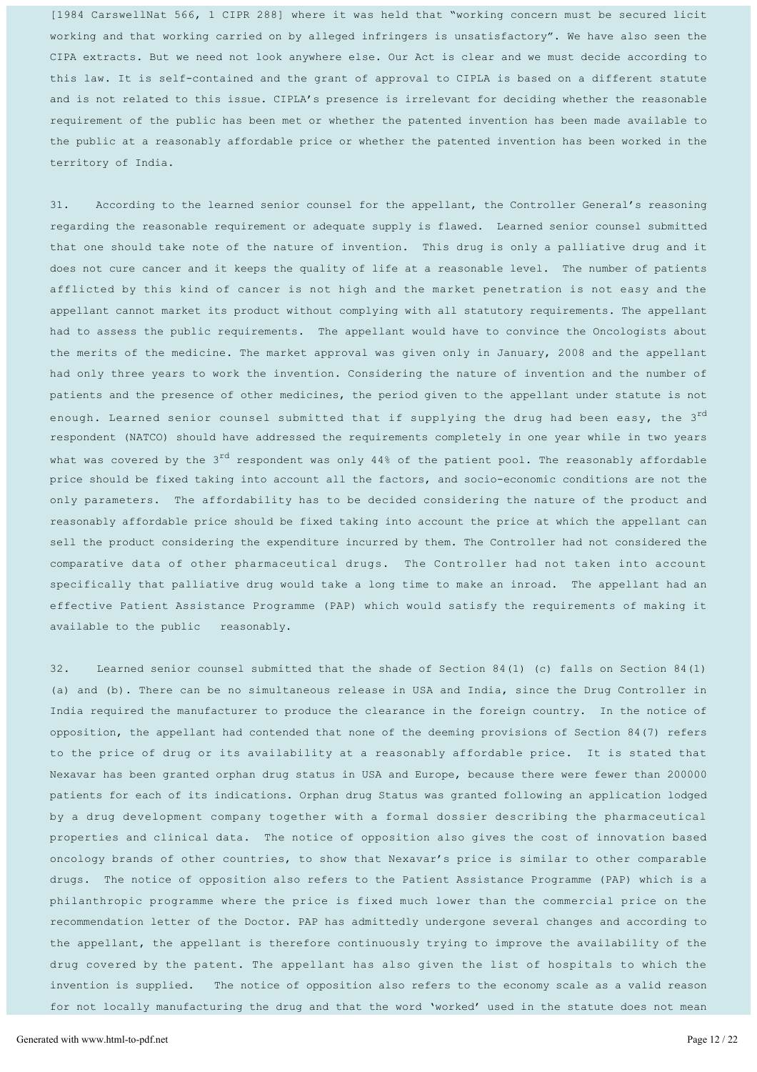[1984 CarswellNat 566, 1 CIPR 288] where it was held that "working concern must be secured licit working and that working carried on by alleged infringers is unsatisfactory". We have also seen the CIPA extracts. But we need not look anywhere else. Our Act is clear and we must decide according to this law. It is self-contained and the grant of approval to CIPLA is based on a different statute and is not related to this issue. CIPLA's presence is irrelevant for deciding whether the reasonable requirement of the public has been met or whether the patented invention has been made available to the public at a reasonably affordable price or whether the patented invention has been worked in the territory of India.

31. According to the learned senior counsel for the appellant, the Controller General's reasoning regarding the reasonable requirement or adequate supply is flawed. Learned senior counsel submitted that one should take note of the nature of invention. This drug is only a palliative drug and it does not cure cancer and it keeps the quality of life at a reasonable level. The number of patients afflicted by this kind of cancer is not high and the market penetration is not easy and the appellant cannot market its product without complying with all statutory requirements. The appellant had to assess the public requirements. The appellant would have to convince the Oncologists about the merits of the medicine. The market approval was given only in January, 2008 and the appellant had only three years to work the invention. Considering the nature of invention and the number of patients and the presence of other medicines, the period given to the appellant under statute is not enough. Learned senior counsel submitted that if supplying the drug had been easy, the 3<sup>rd</sup> respondent (NATCO) should have addressed the requirements completely in one year while in two years what was covered by the 3<sup>rd</sup> respondent was only 44% of the patient pool. The reasonably affordable price should be fixed taking into account all the factors, and socio-economic conditions are not the only parameters. The affordability has to be decided considering the nature of the product and reasonably affordable price should be fixed taking into account the price at which the appellant can sell the product considering the expenditure incurred by them. The Controller had not considered the comparative data of other pharmaceutical drugs. The Controller had not taken into account specifically that palliative drug would take a long time to make an inroad. The appellant had an effective Patient Assistance Programme (PAP) which would satisfy the requirements of making it available to the public reasonably.

32. Learned senior counsel submitted that the shade of Section 84(1) (c) falls on Section 84(1) (a) and (b). There can be no simultaneous release in USA and India, since the Drug Controller in India required the manufacturer to produce the clearance in the foreign country. In the notice of opposition, the appellant had contended that none of the deeming provisions of Section 84(7) refers to the price of drug or its availability at a reasonably affordable price. It is stated that Nexavar has been granted orphan drug status in USA and Europe, because there were fewer than 200000 patients for each of its indications. Orphan drug Status was granted following an application lodged by a drug development company together with a formal dossier describing the pharmaceutical properties and clinical data. The notice of opposition also gives the cost of innovation based oncology brands of other countries, to show that Nexavar's price is similar to other comparable drugs. The notice of opposition also refers to the Patient Assistance Programme (PAP) which is a philanthropic programme where the price is fixed much lower than the commercial price on the recommendation letter of the Doctor. PAP has admittedly undergone several changes and according to the appellant, the appellant is therefore continuously trying to improve the availability of the drug covered by the patent. The appellant has also given the list of hospitals to which the invention is supplied. The notice of opposition also refers to the economy scale as a valid reason for not locally manufacturing the drug and that the word 'worked' used in the statute does not mean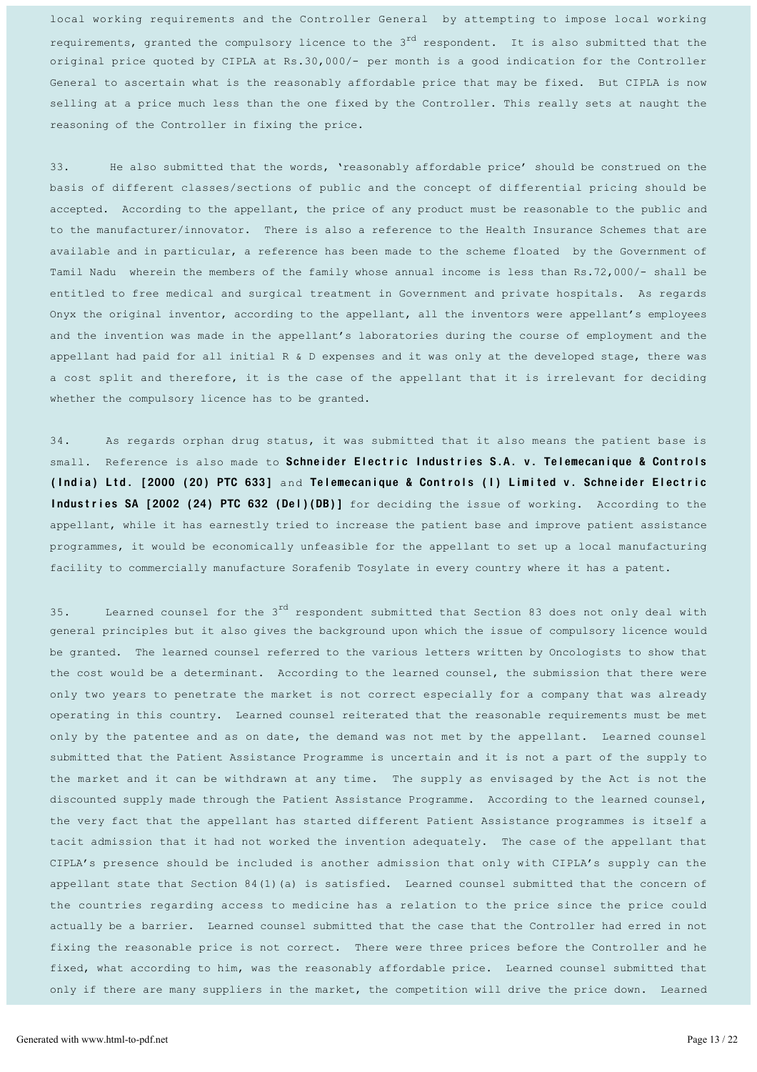local working requirements and the Controller General by attempting to impose local working requirements, granted the compulsory licence to the  $3<sup>rd</sup>$  respondent. It is also submitted that the original price quoted by CIPLA at Rs.30,000/- per month is a good indication for the Controller General to ascertain what is the reasonably affordable price that may be fixed. But CIPLA is now selling at a price much less than the one fixed by the Controller. This really sets at naught the reasoning of the Controller in fixing the price.

33. He also submitted that the words, 'reasonably affordable price' should be construed on the basis of different classes/sections of public and the concept of differential pricing should be accepted. According to the appellant, the price of any product must be reasonable to the public and to the manufacturer/innovator. There is also a reference to the Health Insurance Schemes that are available and in particular, a reference has been made to the scheme floated by the Government of Tamil Nadu wherein the members of the family whose annual income is less than Rs.72,000/- shall be entitled to free medical and surgical treatment in Government and private hospitals. As regards Onyx the original inventor, according to the appellant, all the inventors were appellant's employees and the invention was made in the appellant's laboratories during the course of employment and the appellant had paid for all initial  $R \& D$  expenses and it was only at the developed stage, there was a cost split and therefore, it is the case of the appellant that it is irrelevant for deciding whether the compulsory licence has to be granted.

34. As regards orphan drug status, it was submitted that it also means the patient base is small. Reference is also made to Schneider Electric Industries S.A. v. Telemecanique & Controls (India) Ltd. [2000 (20) PTC 633] and Telemecanique & Controls (I) Limited v. Schneider Electric Industries SA [2002 (24) PTC 632 (Del) (DB)] for deciding the issue of working. According to the appellant, while it has earnestly tried to increase the patient base and improve patient assistance programmes, it would be economically unfeasible for the appellant to set up a local manufacturing facility to commercially manufacture Sorafenib Tosylate in every country where it has a patent.

35. Learned counsel for the  $3^{rd}$  respondent submitted that Section 83 does not only deal with general principles but it also gives the background upon which the issue of compulsory licence would be granted. The learned counsel referred to the various letters written by Oncologists to show that the cost would be a determinant. According to the learned counsel, the submission that there were only two years to penetrate the market is not correct especially for a company that was already operating in this country. Learned counsel reiterated that the reasonable requirements must be met only by the patentee and as on date, the demand was not met by the appellant. Learned counsel submitted that the Patient Assistance Programme is uncertain and it is not a part of the supply to the market and it can be withdrawn at any time. The supply as envisaged by the Act is not the discounted supply made through the Patient Assistance Programme. According to the learned counsel, the very fact that the appellant has started different Patient Assistance programmes is itself a tacit admission that it had not worked the invention adequately. The case of the appellant that CIPLA's presence should be included is another admission that only with CIPLA's supply can the appellant state that Section 84(1)(a) is satisfied. Learned counsel submitted that the concern of the countries regarding access to medicine has a relation to the price since the price could actually be a barrier. Learned counsel submitted that the case that the Controller had erred in not fixing the reasonable price is not correct. There were three prices before the Controller and he fixed, what according to him, was the reasonably affordable price. Learned counsel submitted that only if there are many suppliers in the market, the competition will drive the price down. Learned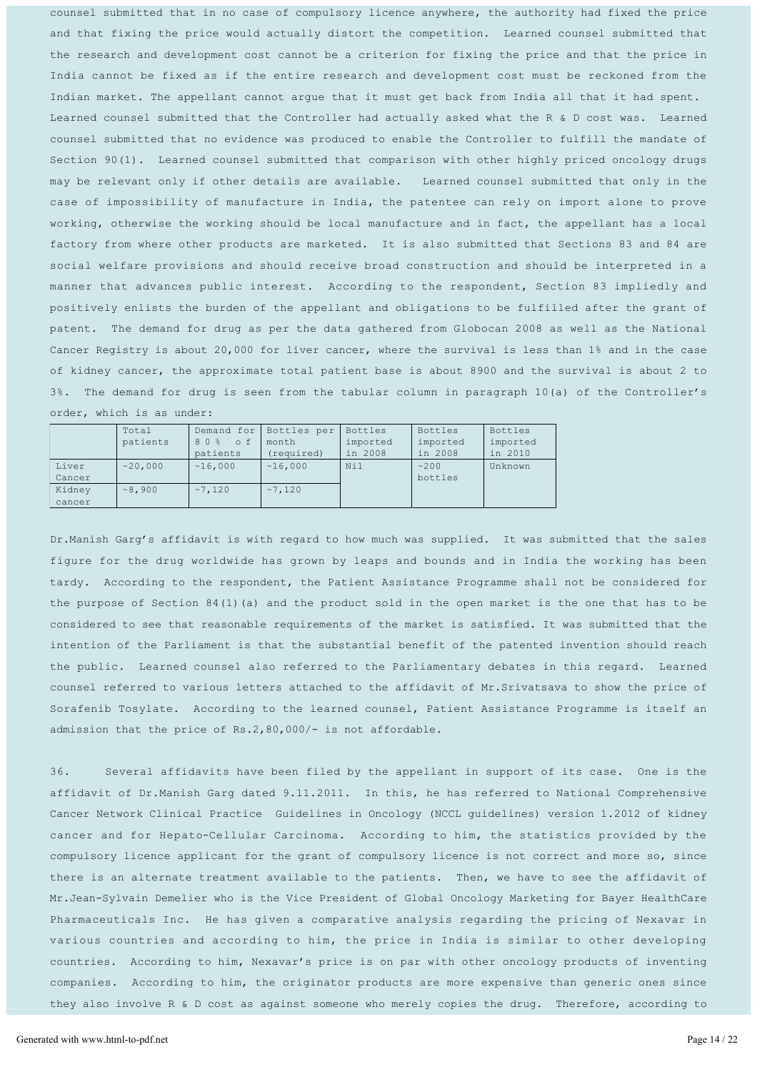counsel submitted that in no case of compulsory licence anywhere, the authority had fixed the price and that fixing the price would actually distort the competition. Learned counsel submitted that the research and development cost cannot be a criterion for fixing the price and that the price in India cannot be fixed as if the entire research and development cost must be reckoned from the Indian market. The appellant cannot argue that it must get back from India all that it had spent. Learned counsel submitted that the Controller had actually asked what the R & D cost was. Learned counsel submitted that no evidence was produced to enable the Controller to fulfill the mandate of Section 90(1). Learned counsel submitted that comparison with other highly priced oncology drugs may be relevant only if other details are available. Learned counsel submitted that only in the case of impossibility of manufacture in India, the patentee can rely on import alone to prove working, otherwise the working should be local manufacture and in fact, the appellant has a local factory from where other products are marketed. It is also submitted that Sections 83 and 84 are social welfare provisions and should receive broad construction and should be interpreted in a manner that advances public interest. According to the respondent, Section 83 impliedly and positively enlists the burden of the appellant and obligations to be fulfilled after the grant of patent. The demand for drug as per the data gathered from Globocan 2008 as well as the National Cancer Registry is about 20,000 for liver cancer, where the survival is less than 1% and in the case of kidney cancer, the approximate total patient base is about 8900 and the survival is about 2 to 3%. The demand for drug is seen from the tabular column in paragraph 10(a) of the Controller's order, which is as under:

|        | Total    | Demand for | Bottles per | <b>Bottles</b> | Bottles  | Bottles  |
|--------|----------|------------|-------------|----------------|----------|----------|
|        | patients | 80% of     | month       | imported       | imported | imported |
|        |          | patients   | (required)  | in 2008        | in 2008  | in 2010  |
| Liver  | ~20.000  | ~16.000    | ~16.000     | Nil            | ~200     | Unknown  |
| Cancer |          |            |             |                | bottles  |          |
| Kidney | ~8.900   | ~27.120    | ~27.120     |                |          |          |
| cancer |          |            |             |                |          |          |

Dr.Manish Garg's affidavit is with regard to how much was supplied. It was submitted that the sales figure for the drug worldwide has grown by leaps and bounds and in India the working has been tardy. According to the respondent, the Patient Assistance Programme shall not be considered for the purpose of Section 84(1)(a) and the product sold in the open market is the one that has to be considered to see that reasonable requirements of the market is satisfied. It was submitted that the intention of the Parliament is that the substantial benefit of the patented invention should reach the public. Learned counsel also referred to the Parliamentary debates in this regard. Learned counsel referred to various letters attached to the affidavit of Mr.Srivatsava to show the price of Sorafenib Tosylate. According to the learned counsel, Patient Assistance Programme is itself an admission that the price of  $Rs.2,80,000/-$  is not affordable.

36. Several affidavits have been filed by the appellant in support of its case. One is the affidavit of Dr.Manish Garg dated 9.11.2011. In this, he has referred to National Comprehensive Cancer Network Clinical Practice Guidelines in Oncology (NCCL guidelines) version 1.2012 of kidney cancer and for Hepato-Cellular Carcinoma. According to him, the statistics provided by the compulsory licence applicant for the grant of compulsory licence is not correct and more so, since there is an alternate treatment available to the patients. Then, we have to see the affidavit of Mr.Jean-Sylvain Demelier who is the Vice President of Global Oncology Marketing for Bayer HealthCare Pharmaceuticals Inc. He has given a comparative analysis regarding the pricing of Nexavar in various countries and according to him, the price in India is similar to other developing countries. According to him, Nexavar's price is on par with other oncology products of inventing companies. According to him, the originator products are more expensive than generic ones since they also involve R & D cost as against someone who merely copies the drug. Therefore, according to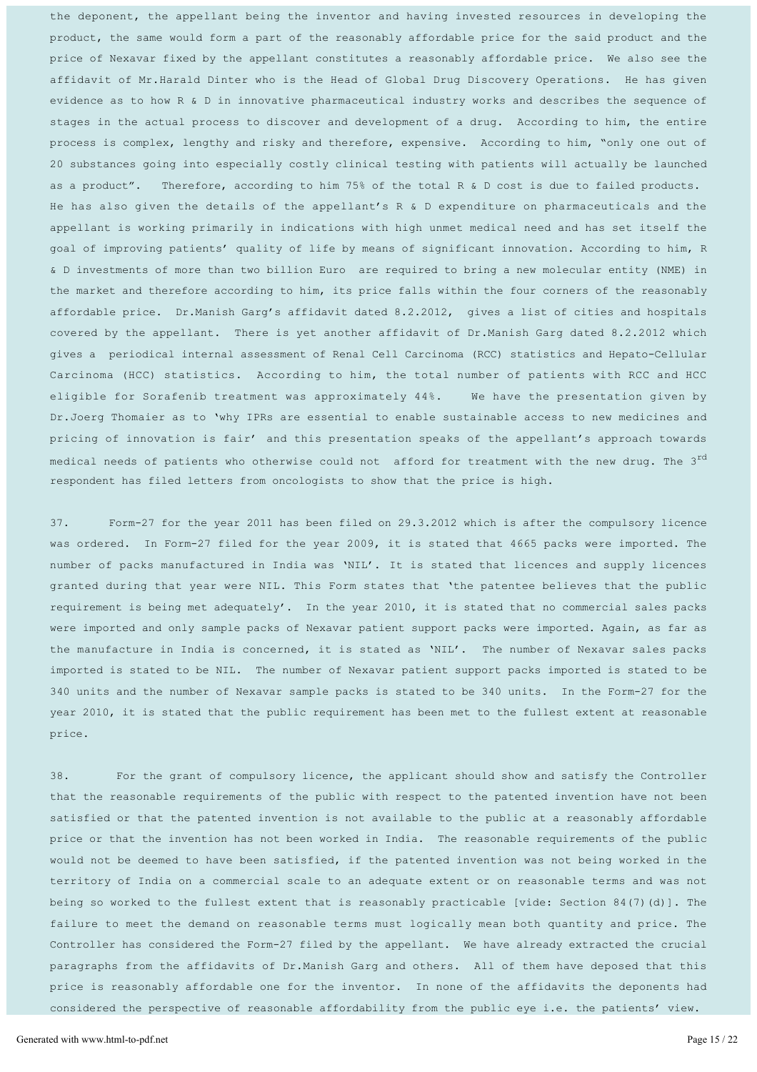the deponent, the appellant being the inventor and having invested resources in developing the product, the same would form a part of the reasonably affordable price for the said product and the price of Nexavar fixed by the appellant constitutes a reasonably affordable price. We also see the affidavit of Mr.Harald Dinter who is the Head of Global Drug Discovery Operations. He has given evidence as to how R & D in innovative pharmaceutical industry works and describes the sequence of stages in the actual process to discover and development of a drug. According to him, the entire process is complex, lengthy and risky and therefore, expensive. According to him, "only one out of 20 substances going into especially costly clinical testing with patients will actually be launched as a product". Therefore, according to him 75% of the total R & D cost is due to failed products. He has also given the details of the appellant's R & D expenditure on pharmaceuticals and the appellant is working primarily in indications with high unmet medical need and has set itself the goal of improving patients' quality of life by means of significant innovation. According to him, R & D investments of more than two billion Euro are required to bring a new molecular entity (NME) in the market and therefore according to him, its price falls within the four corners of the reasonably affordable price. Dr. Manish Garg's affidavit dated 8.2.2012, gives a list of cities and hospitals covered by the appellant. There is yet another affidavit of Dr.Manish Garg dated 8.2.2012 which gives a periodical internal assessment of Renal Cell Carcinoma (RCC) statistics and Hepato-Cellular Carcinoma (HCC) statistics. According to him, the total number of patients with RCC and HCC eligible for Sorafenib treatment was approximately 44%. We have the presentation given by Dr.Joerg Thomaier as to 'why IPRs are essential to enable sustainable access to new medicines and pricing of innovation is fair' and this presentation speaks of the appellant's approach towards medical needs of patients who otherwise could not afford for treatment with the new drug. The 3<sup>rd</sup> respondent has filed letters from oncologists to show that the price is high.

37. Form-27 for the year 2011 has been filed on 29.3.2012 which is after the compulsory licence was ordered. In Form-27 filed for the year 2009, it is stated that 4665 packs were imported. The number of packs manufactured in India was 'NIL'. It is stated that licences and supply licences granted during that year were NIL. This Form states that 'the patentee believes that the public requirement is being met adequately'. In the year 2010, it is stated that no commercial sales packs were imported and only sample packs of Nexavar patient support packs were imported. Again, as far as the manufacture in India is concerned, it is stated as 'NIL'. The number of Nexavar sales packs imported is stated to be NIL. The number of Nexavar patient support packs imported is stated to be 340 units and the number of Nexavar sample packs is stated to be 340 units. In the Form-27 for the year 2010, it is stated that the public requirement has been met to the fullest extent at reasonable price.

38. For the grant of compulsory licence, the applicant should show and satisfy the Controller that the reasonable requirements of the public with respect to the patented invention have not been satisfied or that the patented invention is not available to the public at a reasonably affordable price or that the invention has not been worked in India. The reasonable requirements of the public would not be deemed to have been satisfied, if the patented invention was not being worked in the territory of India on a commercial scale to an adequate extent or on reasonable terms and was not being so worked to the fullest extent that is reasonably practicable [vide: Section 84(7)(d)]. The failure to meet the demand on reasonable terms must logically mean both quantity and price. The Controller has considered the Form-27 filed by the appellant. We have already extracted the crucial paragraphs from the affidavits of Dr. Manish Garg and others. All of them have deposed that this price is reasonably affordable one for the inventor. In none of the affidavits the deponents had considered the perspective of reasonable affordability from the public eye i.e. the patients' view.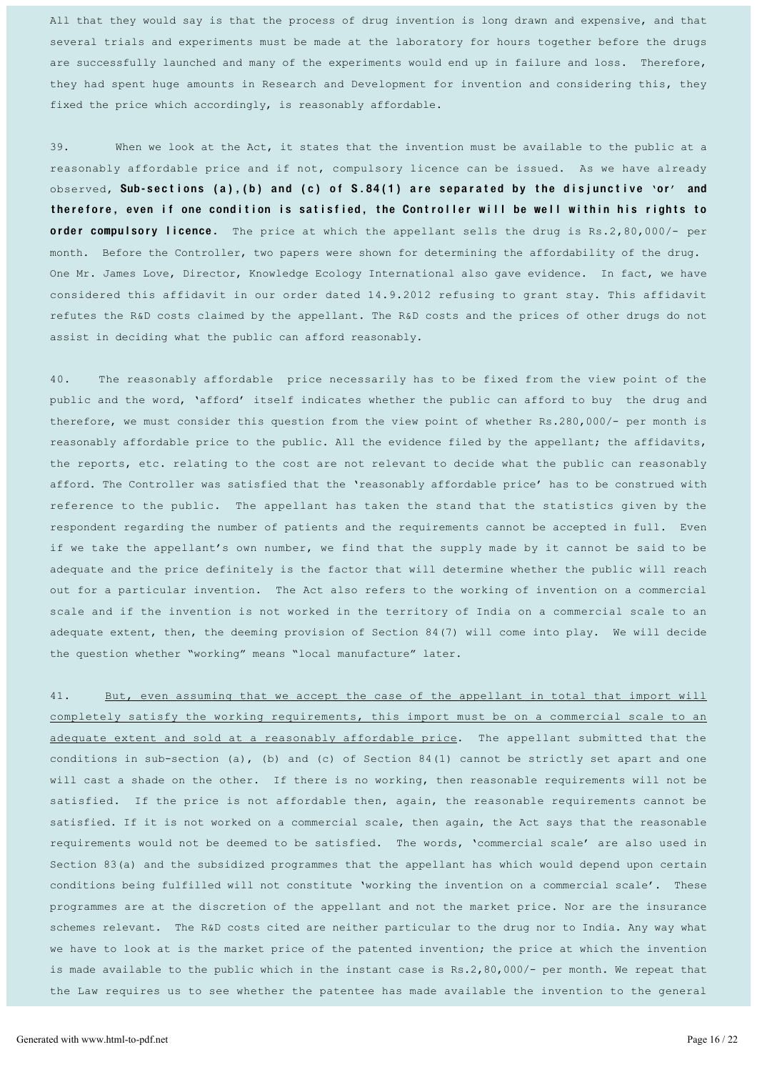All that they would say is that the process of drug invention is long drawn and expensive, and that several trials and experiments must be made at the laboratory for hours together before the drugs are successfully launched and many of the experiments would end up in failure and loss. Therefore, they had spent huge amounts in Research and Development for invention and considering this, they fixed the price which accordingly, is reasonably affordable.

39. When we look at the Act, it states that the invention must be available to the public at a reasonably affordable price and if not, compulsory licence can be issued. As we have already observed, Sub-sections (a), (b) and (c) of S.84(1) are separated by the disjunctive 'or' and the refore, even if one condition is satisfied, the Controller will be well within his rights to order compulsory licence. The price at which the appellant sells the drug is Rs.2,80,000/- per month. Before the Controller, two papers were shown for determining the affordability of the drug. One Mr. James Love, Director, Knowledge Ecology International also gave evidence. In fact, we have considered this affidavit in our order dated 14.9.2012 refusing to grant stay. This affidavit refutes the R&D costs claimed by the appellant. The R&D costs and the prices of other drugs do not assist in deciding what the public can afford reasonably.

40. The reasonably affordable price necessarily has to be fixed from the view point of the public and the word, 'afford' itself indicates whether the public can afford to buy the drug and therefore, we must consider this question from the view point of whether Rs.280,000/- per month is reasonably affordable price to the public. All the evidence filed by the appellant; the affidavits, the reports, etc. relating to the cost are not relevant to decide what the public can reasonably afford. The Controller was satisfied that the 'reasonably affordable price' has to be construed with reference to the public. The appellant has taken the stand that the statistics given by the respondent regarding the number of patients and the requirements cannot be accepted in full. Even if we take the appellant's own number, we find that the supply made by it cannot be said to be adequate and the price definitely is the factor that will determine whether the public will reach out for a particular invention. The Act also refers to the working of invention on a commercial scale and if the invention is not worked in the territory of India on a commercial scale to an adequate extent, then, the deeming provision of Section 84(7) will come into play. We will decide the question whether "working" means "local manufacture" later.

41. But, even assuming that we accept the case of the appellant in total that import will completely satisfy the working requirements, this import must be on a commercial scale to an adequate extent and sold at a reasonably affordable price. The appellant submitted that the conditions in sub-section (a), (b) and (c) of Section 84(1) cannot be strictly set apart and one will cast a shade on the other. If there is no working, then reasonable requirements will not be satisfied. If the price is not affordable then, again, the reasonable requirements cannot be satisfied. If it is not worked on a commercial scale, then again, the Act says that the reasonable requirements would not be deemed to be satisfied. The words, 'commercial scale' are also used in Section 83(a) and the subsidized programmes that the appellant has which would depend upon certain conditions being fulfilled will not constitute 'working the invention on a commercial scale'. These programmes are at the discretion of the appellant and not the market price. Nor are the insurance schemes relevant. The R&D costs cited are neither particular to the drug nor to India. Any way what we have to look at is the market price of the patented invention; the price at which the invention is made available to the public which in the instant case is Rs.2,80,000/- per month. We repeat that the Law requires us to see whether the patentee has made available the invention to the general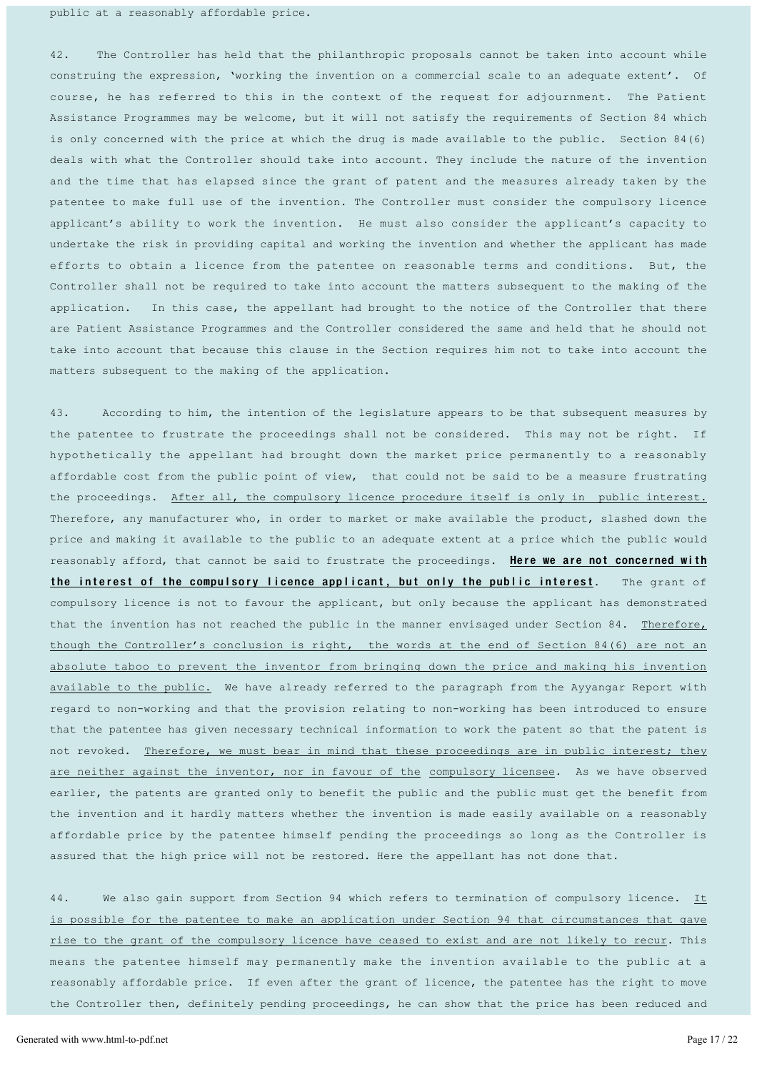public at a reasonably affordable price.

42. The Controller has held that the philanthropic proposals cannot be taken into account while construing the expression, 'working the invention on a commercial scale to an adequate extent'. Of course, he has referred to this in the context of the request for adjournment. The Patient Assistance Programmes may be welcome, but it will not satisfy the requirements of Section 84 which is only concerned with the price at which the drug is made available to the public. Section  $84(6)$ deals with what the Controller should take into account. They include the nature of the invention and the time that has elapsed since the grant of patent and the measures already taken by the patentee to make full use of the invention. The Controller must consider the compulsory licence applicant's ability to work the invention. He must also consider the applicant's capacity to undertake the risk in providing capital and working the invention and whether the applicant has made efforts to obtain a licence from the patentee on reasonable terms and conditions. But, the Controller shall not be required to take into account the matters subsequent to the making of the application. In this case, the appellant had brought to the notice of the Controller that there are Patient Assistance Programmes and the Controller considered the same and held that he should not take into account that because this clause in the Section requires him not to take into account the matters subsequent to the making of the application.

43. According to him, the intention of the legislature appears to be that subsequent measures by the patentee to frustrate the proceedings shall not be considered. This may not be right. If hypothetically the appellant had brought down the market price permanently to a reasonably affordable cost from the public point of view, that could not be said to be a measure frustrating the proceedings. After all, the compulsory licence procedure itself is only in public interest. Therefore, any manufacturer who, in order to market or make available the product, slashed down the price and making it available to the public to an adequate extent at a price which the public would reasonably afford, that cannot be said to frustrate the proceedings. Here we are not concerned with the interest of the compulsory licence applicant, but only the public interest. The grant of compulsory licence is not to favour the applicant, but only because the applicant has demonstrated that the invention has not reached the public in the manner envisaged under Section 84. Therefore, though the Controller's conclusion is right, the words at the end of Section 84(6) are not an absolute taboo to prevent the inventor from bringing down the price and making his invention available to the public. We have already referred to the paragraph from the Ayyangar Report with regard to non-working and that the provision relating to non-working has been introduced to ensure that the patentee has given necessary technical information to work the patent so that the patent is not revoked. Therefore, we must bear in mind that these proceedings are in public interest; they are neither against the inventor, nor in favour of the compulsory licensee. As we have observed earlier, the patents are granted only to benefit the public and the public must get the benefit from the invention and it hardly matters whether the invention is made easily available on a reasonably affordable price by the patentee himself pending the proceedings so long as the Controller is assured that the high price will not be restored. Here the appellant has not done that.

44. We also gain support from Section 94 which refers to termination of compulsory licence. It is possible for the patentee to make an application under Section 94 that circumstances that gave rise to the grant of the compulsory licence have ceased to exist and are not likely to recur. This means the patentee himself may permanently make the invention available to the public at a reasonably affordable price. If even after the grant of licence, the patentee has the right to move the Controller then, definitely pending proceedings, he can show that the price has been reduced and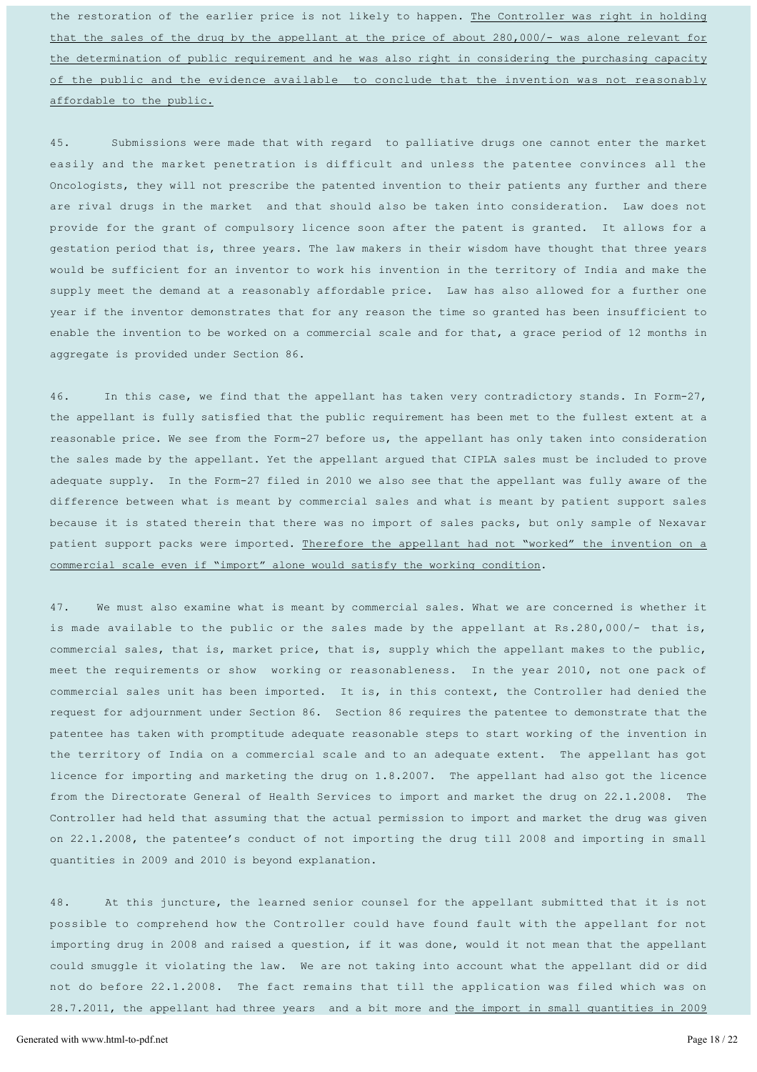the restoration of the earlier price is not likely to happen. The Controller was right in holding that the sales of the drug by the appellant at the price of about 280,000/- was alone relevant for the determination of public requirement and he was also right in considering the purchasing capacity of the public and the evidence available to conclude that the invention was not reasonably affordable to the public.

45. Submissions were made that with regard to palliative drugs one cannot enter the market easily and the market penetration is difficult and unless the patentee convinces all the Oncologists, they will not prescribe the patented invention to their patients any further and there are rival drugs in the market and that should also be taken into consideration. Law does not provide for the grant of compulsory licence soon after the patent is granted. It allows for a gestation period that is, three years. The law makers in their wisdom have thought that three years would be sufficient for an inventor to work his invention in the territory of India and make the supply meet the demand at a reasonably affordable price. Law has also allowed for a further one year if the inventor demonstrates that for any reason the time so granted has been insufficient to enable the invention to be worked on a commercial scale and for that, a grace period of 12 months in aggregate is provided under Section 86.

46. In this case, we find that the appellant has taken very contradictory stands. In Form-27, the appellant is fully satisfied that the public requirement has been met to the fullest extent at a reasonable price. We see from the Form-27 before us, the appellant has only taken into consideration the sales made by the appellant. Yet the appellant argued that CIPLA sales must be included to prove adequate supply. In the Form-27 filed in 2010 we also see that the appellant was fully aware of the difference between what is meant by commercial sales and what is meant by patient support sales because it is stated therein that there was no import of sales packs, but only sample of Nexavar patient support packs were imported. Therefore the appellant had not "worked" the invention on a commercial scale even if "import" alone would satisfy the working condition.

47. We must also examine what is meant by commercial sales. What we are concerned is whether it is made available to the public or the sales made by the appellant at Rs.280,000/- that is, commercial sales, that is, market price, that is, supply which the appellant makes to the public, meet the requirements or show working or reasonableness. In the year 2010, not one pack of commercial sales unit has been imported. It is, in this context, the Controller had denied the request for adjournment under Section 86. Section 86 requires the patentee to demonstrate that the patentee has taken with promptitude adequate reasonable steps to start working of the invention in the territory of India on a commercial scale and to an adequate extent. The appellant has got licence for importing and marketing the drug on 1.8.2007. The appellant had also got the licence from the Directorate General of Health Services to import and market the drug on 22.1.2008. The Controller had held that assuming that the actual permission to import and market the drug was given on 22.1.2008, the patentee's conduct of not importing the drug till 2008 and importing in small quantities in 2009 and 2010 is beyond explanation.

48. At this juncture, the learned senior counsel for the appellant submitted that it is not possible to comprehend how the Controller could have found fault with the appellant for not importing drug in 2008 and raised a question, if it was done, would it not mean that the appellant could smuggle it violating the law. We are not taking into account what the appellant did or did not do before 22.1.2008. The fact remains that till the application was filed which was on 28.7.2011, the appellant had three years and a bit more and the import in small quantities in 2009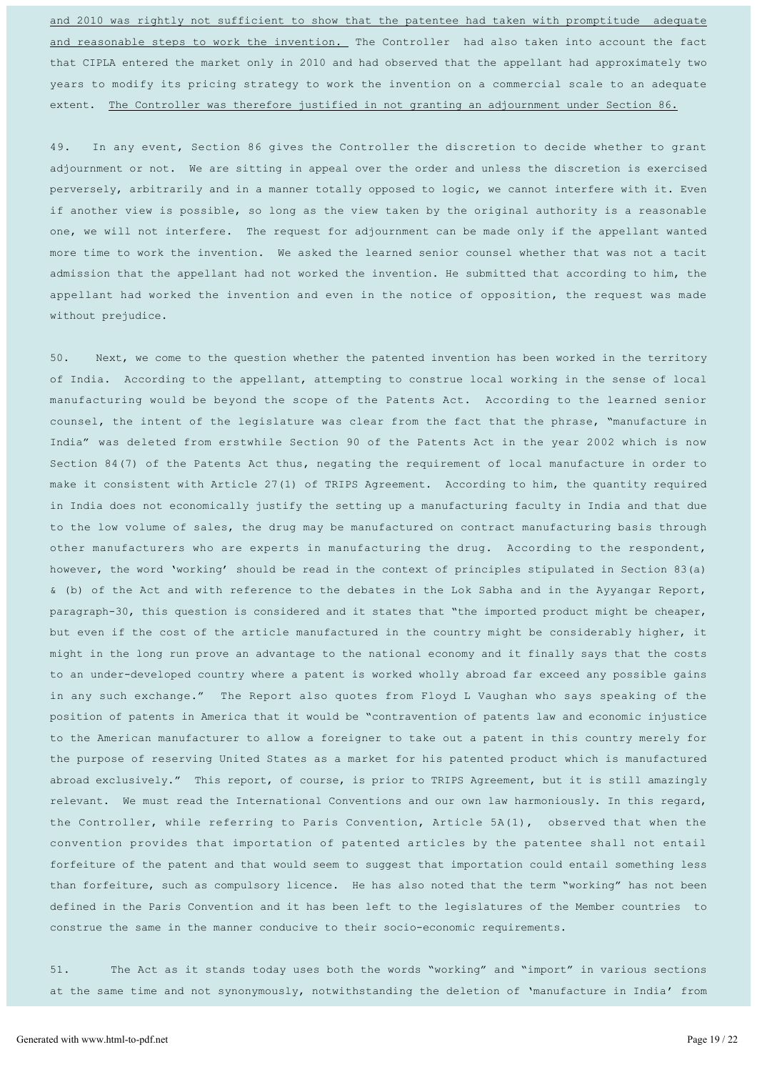and 2010 was rightly not sufficient to show that the patentee had taken with promptitude adequate and reasonable steps to work the invention. The Controller had also taken into account the fact that CIPLA entered the market only in 2010 and had observed that the appellant had approximately two years to modify its pricing strategy to work the invention on a commercial scale to an adequate extent. The Controller was therefore justified in not granting an adjournment under Section 86.

49. In any event, Section 86 gives the Controller the discretion to decide whether to grant adjournment or not. We are sitting in appeal over the order and unless the discretion is exercised perversely, arbitrarily and in a manner totally opposed to logic, we cannot interfere with it. Even if another view is possible, so long as the view taken by the original authority is a reasonable one, we will not interfere. The request for adjournment can be made only if the appellant wanted more time to work the invention. We asked the learned senior counsel whether that was not a tacit admission that the appellant had not worked the invention. He submitted that according to him, the appellant had worked the invention and even in the notice of opposition, the request was made without prejudice.

50. Next, we come to the question whether the patented invention has been worked in the territory of India. According to the appellant, attempting to construe local working in the sense of local manufacturing would be beyond the scope of the Patents Act. According to the learned senior counsel, the intent of the legislature was clear from the fact that the phrase, "manufacture in India" was deleted from erstwhile Section 90 of the Patents Act in the year 2002 which is now Section 84(7) of the Patents Act thus, negating the requirement of local manufacture in order to make it consistent with Article 27(1) of TRIPS Agreement. According to him, the quantity required in India does not economically justify the setting up a manufacturing faculty in India and that due to the low volume of sales, the drug may be manufactured on contract manufacturing basis through other manufacturers who are experts in manufacturing the drug. According to the respondent, however, the word 'working' should be read in the context of principles stipulated in Section 83(a) & (b) of the Act and with reference to the debates in the Lok Sabha and in the Ayyangar Report, paragraph-30, this question is considered and it states that "the imported product might be cheaper, but even if the cost of the article manufactured in the country might be considerably higher, it might in the long run prove an advantage to the national economy and it finally says that the costs to an under-developed country where a patent is worked wholly abroad far exceed any possible gains in any such exchange." The Report also quotes from Floyd L Vaughan who says speaking of the position of patents in America that it would be "contravention of patents law and economic injustice to the American manufacturer to allow a foreigner to take out a patent in this country merely for the purpose of reserving United States as a market for his patented product which is manufactured abroad exclusively." This report, of course, is prior to TRIPS Agreement, but it is still amazingly relevant. We must read the International Conventions and our own law harmoniously. In this regard, the Controller, while referring to Paris Convention, Article 5A(1), observed that when the convention provides that importation of patented articles by the patentee shall not entail forfeiture of the patent and that would seem to suggest that importation could entail something less than forfeiture, such as compulsory licence. He has also noted that the term "working" has not been defined in the Paris Convention and it has been left to the legislatures of the Member countries to construe the same in the manner conducive to their socio-economic requirements.

51. The Act as it stands today uses both the words "working" and "import" in various sections at the same time and not synonymously, notwithstanding the deletion of 'manufacture in India' from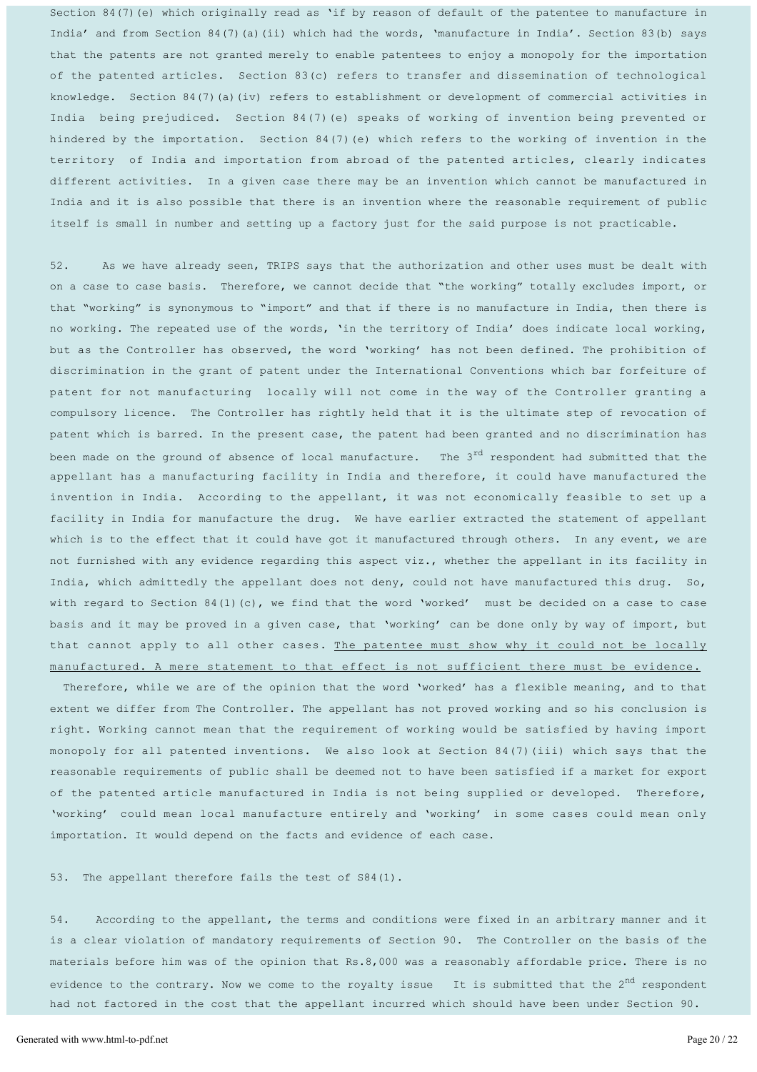Section 84(7)(e) which originally read as 'if by reason of default of the patentee to manufacture in India' and from Section 84(7)(a)(ii) which had the words, 'manufacture in India'. Section 83(b) says that the patents are not granted merely to enable patentees to enjoy a monopoly for the importation of the patented articles. Section 83(c) refers to transfer and dissemination of technological knowledge. Section 84(7)(a)(iv) refers to establishment or development of commercial activities in India being prejudiced. Section 84(7) (e) speaks of working of invention being prevented or hindered by the importation. Section 84(7) (e) which refers to the working of invention in the territory of India and importation from abroad of the patented articles, clearly indicates different activities. In a given case there may be an invention which cannot be manufactured in India and it is also possible that there is an invention where the reasonable requirement of public itself is small in number and setting up a factory just for the said purpose is not practicable.

52. As we have already seen, TRIPS says that the authorization and other uses must be dealt with on a case to case basis. Therefore, we cannot decide that "the working" totally excludes import, or that "working" is synonymous to "import" and that if there is no manufacture in India, then there is no working. The repeated use of the words, 'in the territory of India' does indicate local working, but as the Controller has observed, the word 'working' has not been defined. The prohibition of discrimination in the grant of patent under the International Conventions which bar forfeiture of patent for not manufacturing locally will not come in the way of the Controller granting a compulsory licence. The Controller has rightly held that it is the ultimate step of revocation of patent which is barred. In the present case, the patent had been granted and no discrimination has been made on the ground of absence of local manufacture. The  $3^{rd}$  respondent had submitted that the appellant has a manufacturing facility in India and therefore, it could have manufactured the invention in India. According to the appellant, it was not economically feasible to set up a facility in India for manufacture the drug. We have earlier extracted the statement of appellant which is to the effect that it could have got it manufactured through others. In any event, we are not furnished with any evidence regarding this aspect viz., whether the appellant in its facility in India, which admittedly the appellant does not deny, could not have manufactured this drug. So, with regard to Section 84(1)(c), we find that the word 'worked' must be decided on a case to case basis and it may be proved in a given case, that 'working' can be done only by way of import, but that cannot apply to all other cases. The patentee must show why it could not be locally manufactured. A mere statement to that effect is not sufficient there must be evidence.

Therefore, while we are of the opinion that the word 'worked' has a flexible meaning, and to that extent we differ from The Controller. The appellant has not proved working and so his conclusion is right. Working cannot mean that the requirement of working would be satisfied by having import monopoly for all patented inventions. We also look at Section 84(7) (iii) which says that the reasonable requirements of public shall be deemed not to have been satisfied if a market for export of the patented article manufactured in India is not being supplied or developed. Therefore, 'working' could mean local manufacture entirely and 'working' in some cases could mean only importation. It would depend on the facts and evidence of each case.

53. The appellant therefore fails the test of S84(1).

54. According to the appellant, the terms and conditions were fixed in an arbitrary manner and it is a clear violation of mandatory requirements of Section 90. The Controller on the basis of the materials before him was of the opinion that Rs.8,000 was a reasonably affordable price. There is no evidence to the contrary. Now we come to the royalty issue It is submitted that the  $2^{nd}$  respondent had not factored in the cost that the appellant incurred which should have been under Section 90.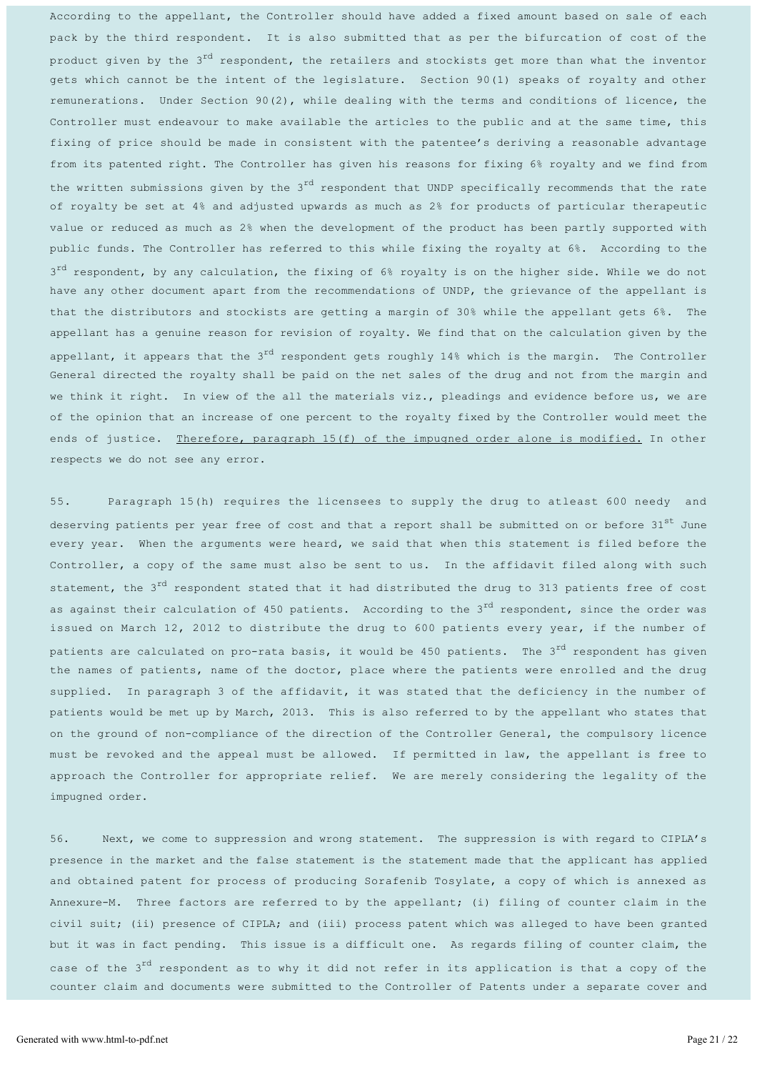According to the appellant, the Controller should have added a fixed amount based on sale of each pack by the third respondent. It is also submitted that as per the bifurcation of cost of the product given by the 3<sup>rd</sup> respondent, the retailers and stockists get more than what the inventor gets which cannot be the intent of the legislature. Section 90(1) speaks of royalty and other remunerations. Under Section  $90(2)$ , while dealing with the terms and conditions of licence, the Controller must endeavour to make available the articles to the public and at the same time, this fixing of price should be made in consistent with the patentee's deriving a reasonable advantage from its patented right. The Controller has given his reasons for fixing 6% royalty and we find from the written submissions given by the 3<sup>rd</sup> respondent that UNDP specifically recommends that the rate of royalty be set at 4% and adjusted upwards as much as 2% for products of particular therapeutic value or reduced as much as 2% when the development of the product has been partly supported with public funds. The Controller has referred to this while fixing the royalty at 6%. According to the  $3<sup>rd</sup>$  respondent, by any calculation, the fixing of 6% royalty is on the higher side. While we do not have any other document apart from the recommendations of UNDP, the grievance of the appellant is that the distributors and stockists are getting a margin of 30% while the appellant gets 6%. The appellant has a genuine reason for revision of royalty. We find that on the calculation given by the appellant, it appears that the  $3^{rd}$  respondent gets roughly  $14\frac{8}{6}$  which is the margin. The Controller General directed the royalty shall be paid on the net sales of the drug and not from the margin and we think it right. In view of the all the materials viz., pleadings and evidence before us, we are of the opinion that an increase of one percent to the royalty fixed by the Controller would meet the ends of justice. Therefore, paragraph 15(f) of the impugned order alone is modified. In other respects we do not see any error.

55. Paragraph 15(h) requires the licensees to supply the drug to atleast 600 needy and deserving patients per year free of cost and that a report shall be submitted on or before 31st June every year. When the arguments were heard, we said that when this statement is filed before the Controller, a copy of the same must also be sent to us. In the affidavit filed along with such statement, the  $3^{rd}$  respondent stated that it had distributed the drug to 313 patients free of cost as against their calculation of 450 patients. According to the 3<sup>rd</sup> respondent, since the order was issued on March 12, 2012 to distribute the drug to 600 patients every year, if the number of patients are calculated on pro-rata basis, it would be 450 patients. The  $3^{rd}$  respondent has given the names of patients, name of the doctor, place where the patients were enrolled and the drug supplied. In paragraph 3 of the affidavit, it was stated that the deficiency in the number of patients would be met up by March, 2013. This is also referred to by the appellant who states that on the ground of non-compliance of the direction of the Controller General, the compulsory licence must be revoked and the appeal must be allowed. If permitted in law, the appellant is free to approach the Controller for appropriate relief. We are merely considering the legality of the impugned order.

56. Next, we come to suppression and wrong statement. The suppression is with regard to CIPLA's presence in the market and the false statement is the statement made that the applicant has applied and obtained patent for process of producing Sorafenib Tosylate, a copy of which is annexed as Annexure-M. Three factors are referred to by the appellant; (i) filing of counter claim in the civil suit; (ii) presence of CIPLA; and (iii) process patent which was alleged to have been granted but it was in fact pending. This issue is a difficult one. As regards filing of counter claim, the case of the 3<sup>rd</sup> respondent as to why it did not refer in its application is that a copy of the counter claim and documents were submitted to the Controller of Patents under a separate cover and